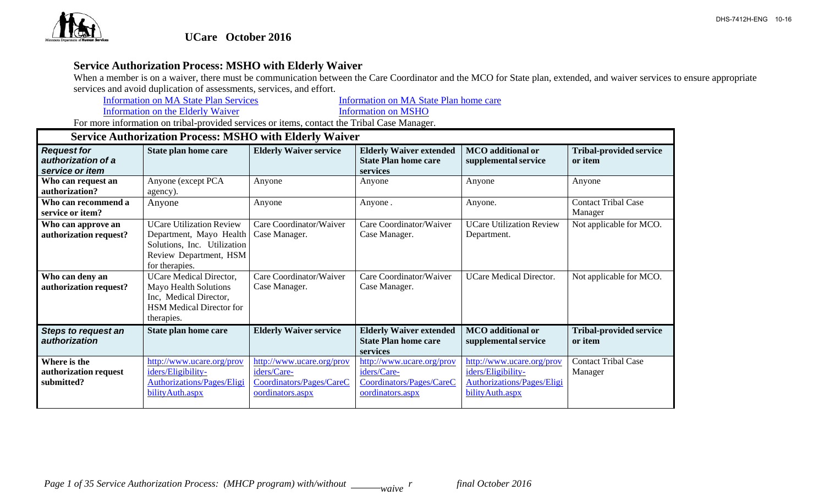

## **Service Authorization Process: MSHO with Elderly Waiver**

When a member is on a waiver, there must be communication between the Care Coordinator and the MCO for State plan, extended, and waiver services to ensure appropriate services and avoid duplication of assessments, services, and effort.

Information on MA State Plan Services **Information** on MA State Plan home care

Information on the Elderly Waiver Information on MSHO

|  |  |  |  |  | <b>Service Authorization Process: MSHO with Elderly Waiver</b> |  |  |  |  |
|--|--|--|--|--|----------------------------------------------------------------|--|--|--|--|
|--|--|--|--|--|----------------------------------------------------------------|--|--|--|--|

| <b>Request for</b><br>authorization of a<br>service or item | State plan home care                                                                                                                  | <b>Elderly Waiver service</b>                                                            | <b>Elderly Waiver extended</b><br><b>State Plan home care</b><br>services                | <b>MCO</b> additional or<br>supplemental service                                                         | <b>Tribal-provided service</b><br>or item |
|-------------------------------------------------------------|---------------------------------------------------------------------------------------------------------------------------------------|------------------------------------------------------------------------------------------|------------------------------------------------------------------------------------------|----------------------------------------------------------------------------------------------------------|-------------------------------------------|
| Who can request an<br>authorization?                        | Anyone (except PCA<br>agency).                                                                                                        | Anyone                                                                                   | Anyone                                                                                   | Anyone                                                                                                   | Anyone                                    |
| Who can recommend a<br>service or item?                     | Anyone                                                                                                                                | Anyone                                                                                   | Anyone.                                                                                  | Anyone.                                                                                                  | <b>Contact Tribal Case</b><br>Manager     |
| Who can approve an<br>authorization request?                | <b>UCare Utilization Review</b><br>Department, Mayo Health<br>Solutions, Inc. Utilization<br>Review Department, HSM<br>for therapies. | Care Coordinator/Waiver<br>Case Manager.                                                 | Care Coordinator/Waiver<br>Case Manager.                                                 | <b>UCare Utilization Review</b><br>Department.                                                           | Not applicable for MCO.                   |
| Who can deny an<br>authorization request?                   | <b>UCare Medical Director,</b><br>Mayo Health Solutions<br>Inc, Medical Director,<br><b>HSM</b> Medical Director for<br>therapies.    | Care Coordinator/Waiver<br>Case Manager.                                                 | Care Coordinator/Waiver<br>Case Manager.                                                 | <b>UCare Medical Director.</b>                                                                           | Not applicable for MCO.                   |
| <b>Steps to request an</b><br>authorization                 | State plan home care                                                                                                                  | <b>Elderly Waiver service</b>                                                            | <b>Elderly Waiver extended</b><br><b>State Plan home care</b><br>services                | <b>MCO</b> additional or<br>supplemental service                                                         | <b>Tribal-provided service</b><br>or item |
| Where is the<br>authorization request<br>submitted?         | http://www.ucare.org/prov<br>iders/Eligibility-<br><b>Authorizations/Pages/Eligi</b><br>bility Auth.aspx                              | http://www.ucare.org/prov<br>iders/Care-<br>Coordinators/Pages/CareC<br>oordinators.aspx | http://www.ucare.org/prov<br>iders/Care-<br>Coordinators/Pages/CareC<br>oordinators.aspx | http://www.ucare.org/prov<br>iders/Eligibility-<br><b>Authorizations/Pages/Eligi</b><br>bility Auth.aspx | <b>Contact Tribal Case</b><br>Manager     |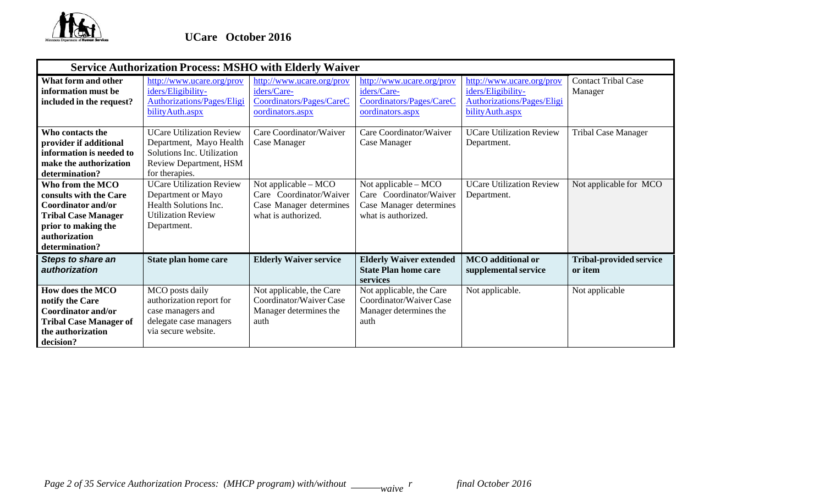

|                                                                                                                                                          | <b>Service Authorization Process: MSHO with Elderly Waiver</b>                                                                       |                                                                                                   |                                                                                                   |                                                                                                   |                                           |  |  |  |  |
|----------------------------------------------------------------------------------------------------------------------------------------------------------|--------------------------------------------------------------------------------------------------------------------------------------|---------------------------------------------------------------------------------------------------|---------------------------------------------------------------------------------------------------|---------------------------------------------------------------------------------------------------|-------------------------------------------|--|--|--|--|
| What form and other<br>information must be<br>included in the request?                                                                                   | http://www.ucare.org/prov<br>iders/Eligibility-<br>Authorizations/Pages/Eligi<br>bility Auth.aspx                                    | http://www.ucare.org/prov<br>iders/Care-<br>Coordinators/Pages/CareC<br>oordinators.aspx          | http://www.ucare.org/prov<br>iders/Care-<br>Coordinators/Pages/CareC<br>oordinators.aspx          | http://www.ucare.org/prov<br>iders/Eligibility-<br>Authorizations/Pages/Eligi<br>bility Auth.aspx | <b>Contact Tribal Case</b><br>Manager     |  |  |  |  |
| Who contacts the<br>provider if additional<br>information is needed to<br>make the authorization<br>determination?                                       | <b>UCare Utilization Review</b><br>Department, Mayo Health<br>Solutions Inc. Utilization<br>Review Department, HSM<br>for therapies. | Care Coordinator/Waiver<br>Case Manager                                                           | Care Coordinator/Waiver<br>Case Manager                                                           | <b>UCare Utilization Review</b><br>Department.                                                    | <b>Tribal Case Manager</b>                |  |  |  |  |
| Who from the MCO<br>consults with the Care<br>Coordinator and/or<br><b>Tribal Case Manager</b><br>prior to making the<br>authorization<br>determination? | <b>UCare Utilization Review</b><br>Department or Mayo<br>Health Solutions Inc.<br><b>Utilization Review</b><br>Department.           | Not applicable – MCO<br>Care Coordinator/Waiver<br>Case Manager determines<br>what is authorized. | Not applicable – MCO<br>Care Coordinator/Waiver<br>Case Manager determines<br>what is authorized. | <b>UCare Utilization Review</b><br>Department.                                                    | Not applicable for MCO                    |  |  |  |  |
| <b>Steps to share an</b><br>authorization                                                                                                                | State plan home care                                                                                                                 | <b>Elderly Waiver service</b>                                                                     | <b>Elderly Waiver extended</b><br><b>State Plan home care</b><br>services                         | <b>MCO</b> additional or<br>supplemental service                                                  | <b>Tribal-provided service</b><br>or item |  |  |  |  |
| <b>How does the MCO</b><br>notify the Care<br><b>Coordinator and/or</b><br><b>Tribal Case Manager of</b><br>the authorization<br>decision?               | MCO posts daily<br>authorization report for<br>case managers and<br>delegate case managers<br>via secure website.                    | Not applicable, the Care<br>Coordinator/Waiver Case<br>Manager determines the<br>auth             | Not applicable, the Care<br>Coordinator/Waiver Case<br>Manager determines the<br>auth             | Not applicable.                                                                                   | Not applicable                            |  |  |  |  |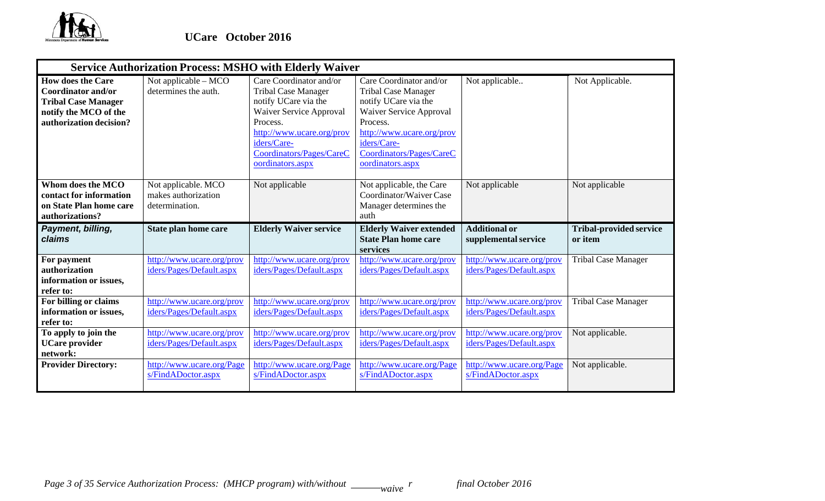

|                                                                                                                                         | <b>Service Authorization Process: MSHO with Elderly Waiver</b> |                                                                                                                                                                                                                  |                                                                                                                                                                                                                  |                                                       |                                           |
|-----------------------------------------------------------------------------------------------------------------------------------------|----------------------------------------------------------------|------------------------------------------------------------------------------------------------------------------------------------------------------------------------------------------------------------------|------------------------------------------------------------------------------------------------------------------------------------------------------------------------------------------------------------------|-------------------------------------------------------|-------------------------------------------|
| <b>How does the Care</b><br><b>Coordinator and/or</b><br><b>Tribal Case Manager</b><br>notify the MCO of the<br>authorization decision? | Not applicable - MCO<br>determines the auth.                   | Care Coordinator and/or<br><b>Tribal Case Manager</b><br>notify UCare via the<br>Waiver Service Approval<br>Process.<br>http://www.ucare.org/prov<br>iders/Care-<br>Coordinators/Pages/CareC<br>oordinators.aspx | Care Coordinator and/or<br><b>Tribal Case Manager</b><br>notify UCare via the<br>Waiver Service Approval<br>Process.<br>http://www.ucare.org/prov<br>iders/Care-<br>Coordinators/Pages/CareC<br>oordinators.aspx | Not applicable                                        | Not Applicable.                           |
| Whom does the MCO<br>contact for information<br>on State Plan home care<br>authorizations?                                              | Not applicable. MCO<br>makes authorization<br>determination.   | Not applicable                                                                                                                                                                                                   | Not applicable, the Care<br>Coordinator/Waiver Case<br>Manager determines the<br>auth                                                                                                                            | Not applicable                                        | Not applicable                            |
| Payment, billing,<br>claims                                                                                                             | State plan home care                                           | <b>Elderly Waiver service</b>                                                                                                                                                                                    | <b>Elderly Waiver extended</b><br><b>State Plan home care</b><br>services                                                                                                                                        | <b>Additional or</b><br>supplemental service          | <b>Tribal-provided service</b><br>or item |
| For payment<br>authorization<br>information or issues,<br>refer to:                                                                     | http://www.ucare.org/prov<br>iders/Pages/Default.aspx          | http://www.ucare.org/prov<br>iders/Pages/Default.aspx                                                                                                                                                            | http://www.ucare.org/prov<br>iders/Pages/Default.aspx                                                                                                                                                            | http://www.ucare.org/prov<br>iders/Pages/Default.aspx | <b>Tribal Case Manager</b>                |
| For billing or claims<br>information or issues,<br>refer to:                                                                            | http://www.ucare.org/prov<br>iders/Pages/Default.aspx          | http://www.ucare.org/prov<br>iders/Pages/Default.aspx                                                                                                                                                            | http://www.ucare.org/prov<br>iders/Pages/Default.aspx                                                                                                                                                            | http://www.ucare.org/prov<br>iders/Pages/Default.aspx | <b>Tribal Case Manager</b>                |
| To apply to join the<br><b>UCare</b> provider<br>network:                                                                               | http://www.ucare.org/prov<br>iders/Pages/Default.aspx          | http://www.ucare.org/prov<br>iders/Pages/Default.aspx                                                                                                                                                            | http://www.ucare.org/prov<br>iders/Pages/Default.aspx                                                                                                                                                            | http://www.ucare.org/prov<br>iders/Pages/Default.aspx | Not applicable.                           |
| <b>Provider Directory:</b>                                                                                                              | http://www.ucare.org/Page<br>s/FindADoctor.aspx                | http://www.ucare.org/Page<br>s/FindADoctor.aspx                                                                                                                                                                  | http://www.ucare.org/Page<br>s/FindADoctor.aspx                                                                                                                                                                  | http://www.ucare.org/Page<br>s/FindADoctor.aspx       | Not applicable.                           |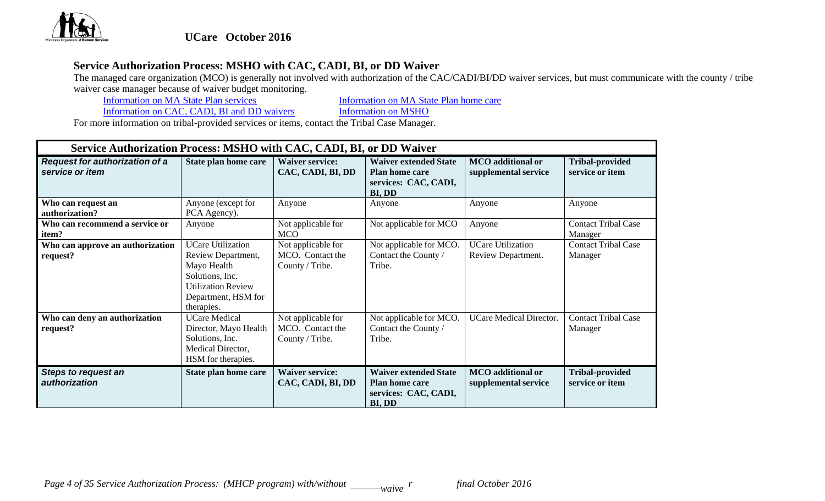

# **Service Authorization Process: MSHO with CAC, CADI, BI, or DD Waiver**

The managed care organization (MCO) is generally not involved with authorization of the CAC/CADI/BI/DD waiver services, but must communicate with the county / tribe waiver case manager because of waiver budget monitoring.<br>Information on MA State Plan services

Information on MA State Plan services **Information** on MA State Plan home care

Information on CAC, CADI, BI and DD waivers Information on MSHO

|                                                          | Service Authorization Process: MSHO with CAC, CADI, BI, or DD Waiver                                                                               |                                                           |                                                                                         |                                                  |                                           |  |  |  |  |
|----------------------------------------------------------|----------------------------------------------------------------------------------------------------------------------------------------------------|-----------------------------------------------------------|-----------------------------------------------------------------------------------------|--------------------------------------------------|-------------------------------------------|--|--|--|--|
| <b>Request for authorization of a</b><br>service or item | State plan home care                                                                                                                               | <b>Waiver service:</b><br>CAC, CADI, BI, DD               | <b>Waiver extended State</b><br><b>Plan home care</b><br>services: CAC, CADI,<br>BI, DD | <b>MCO</b> additional or<br>supplemental service | <b>Tribal-provided</b><br>service or item |  |  |  |  |
| Who can request an<br>authorization?                     | Anyone (except for<br>PCA Agency).                                                                                                                 | Anyone                                                    | Anyone                                                                                  | Anyone                                           | Anyone                                    |  |  |  |  |
| Who can recommend a service or<br>item?                  | Anyone                                                                                                                                             | Not applicable for<br><b>MCO</b>                          | Not applicable for MCO                                                                  | Anyone                                           | <b>Contact Tribal Case</b><br>Manager     |  |  |  |  |
| Who can approve an authorization<br>request?             | <b>UCare Utilization</b><br>Review Department,<br>Mayo Health<br>Solutions, Inc.<br><b>Utilization Review</b><br>Department, HSM for<br>therapies. | Not applicable for<br>MCO. Contact the<br>County / Tribe. | Not applicable for MCO.<br>Contact the County /<br>Tribe.                               | <b>UCare Utilization</b><br>Review Department.   | <b>Contact Tribal Case</b><br>Manager     |  |  |  |  |
| Who can deny an authorization<br>request?                | <b>UCare Medical</b><br>Director, Mayo Health<br>Solutions, Inc.<br>Medical Director,<br>HSM for therapies.                                        | Not applicable for<br>MCO. Contact the<br>County / Tribe. | Not applicable for MCO.<br>Contact the County /<br>Tribe.                               | <b>UCare Medical Director.</b>                   | <b>Contact Tribal Case</b><br>Manager     |  |  |  |  |
| <b>Steps to request an</b><br>authorization              | State plan home care                                                                                                                               | <b>Waiver service:</b><br>CAC, CADI, BI, DD               | <b>Waiver extended State</b><br>Plan home care<br>services: CAC, CADI,<br>BI, DD        | <b>MCO</b> additional or<br>supplemental service | <b>Tribal-provided</b><br>service or item |  |  |  |  |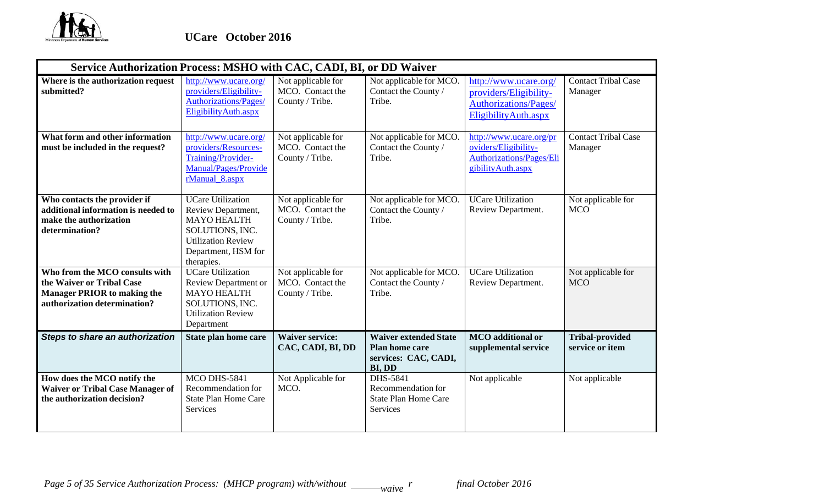

|                                                                                                                                   | Service Authorization Process: MSHO with CAC, CADI, BI, or DD Waiver                                                                                      |                                                           |                                                                                         |                                                                                                          |                                           |  |  |  |
|-----------------------------------------------------------------------------------------------------------------------------------|-----------------------------------------------------------------------------------------------------------------------------------------------------------|-----------------------------------------------------------|-----------------------------------------------------------------------------------------|----------------------------------------------------------------------------------------------------------|-------------------------------------------|--|--|--|
| Where is the authorization request<br>submitted?                                                                                  | http://www.ucare.org/<br>providers/Eligibility-<br>Authorizations/Pages/<br>EligibilityAuth.aspx                                                          | Not applicable for<br>MCO. Contact the<br>County / Tribe. | Not applicable for MCO.<br>Contact the County /<br>Tribe.                               | http://www.ucare.org/<br>providers/Eligibility-<br><b>Authorizations/Pages/</b><br>EligibilityAuth.aspx  | <b>Contact Tribal Case</b><br>Manager     |  |  |  |
| What form and other information<br>must be included in the request?                                                               | http://www.ucare.org/<br>providers/Resources-<br>Training/Provider-<br>Manual/Pages/Provide<br>rManual_8.aspx                                             | Not applicable for<br>MCO. Contact the<br>County / Tribe. | Not applicable for MCO.<br>Contact the County /<br>Tribe.                               | http://www.ucare.org/pr<br>oviders/Eligibility-<br><b>Authorizations/Pages/Eli</b><br>gibility Auth.aspx | <b>Contact Tribal Case</b><br>Manager     |  |  |  |
| Who contacts the provider if<br>additional information is needed to<br>make the authorization<br>determination?                   | <b>UCare Utilization</b><br>Review Department,<br><b>MAYO HEALTH</b><br>SOLUTIONS, INC.<br><b>Utilization Review</b><br>Department, HSM for<br>therapies. | Not applicable for<br>MCO. Contact the<br>County / Tribe. | Not applicable for MCO.<br>Contact the County /<br>Tribe.                               | <b>UCare Utilization</b><br>Review Department.                                                           | Not applicable for<br><b>MCO</b>          |  |  |  |
| Who from the MCO consults with<br>the Waiver or Tribal Case<br><b>Manager PRIOR to making the</b><br>authorization determination? | <b>UCare Utilization</b><br>Review Department or<br><b>MAYO HEALTH</b><br>SOLUTIONS, INC.<br><b>Utilization Review</b><br>Department                      | Not applicable for<br>MCO. Contact the<br>County / Tribe. | Not applicable for MCO.<br>Contact the County /<br>Tribe.                               | <b>UCare Utilization</b><br>Review Department.                                                           | Not applicable for<br><b>MCO</b>          |  |  |  |
| <b>Steps to share an authorization</b>                                                                                            | State plan home care                                                                                                                                      | <b>Waiver service:</b><br>CAC, CADI, BI, DD               | <b>Waiver extended State</b><br><b>Plan home care</b><br>services: CAC, CADI,<br>BI, DD | <b>MCO</b> additional or<br>supplemental service                                                         | <b>Tribal-provided</b><br>service or item |  |  |  |
| How does the MCO notify the<br><b>Waiver or Tribal Case Manager of</b><br>the authorization decision?                             | MCO DHS-5841<br>Recommendation for<br><b>State Plan Home Care</b><br>Services                                                                             | Not Applicable for<br>MCO.                                | DHS-5841<br>Recommendation for<br><b>State Plan Home Care</b><br>Services               | Not applicable                                                                                           | Not applicable                            |  |  |  |

*Page 5 of 35 Service Authorization Process: (MHCP program) with/without* \_\_\_\_\_\_*waive*  $^r$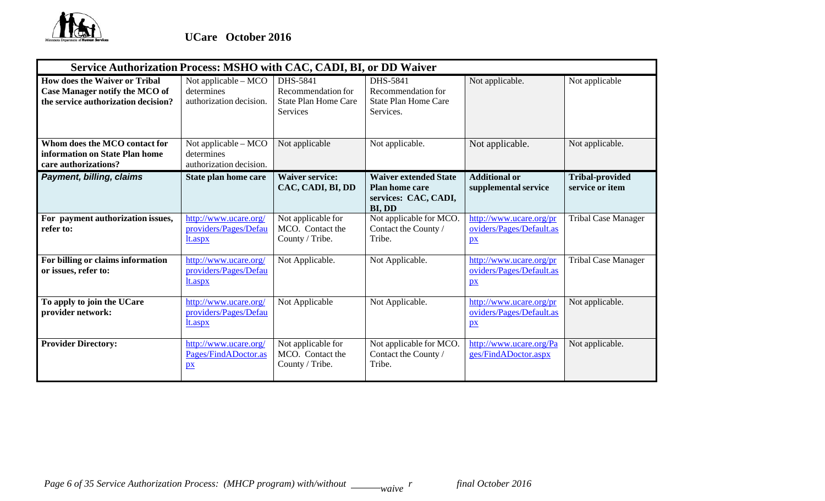

| Service Authorization Process: MSHO with CAC, CADI, BI, or DD Waiver                                                 |                                                                 |                                                                           |                                                                                         |                                                                     |                                           |
|----------------------------------------------------------------------------------------------------------------------|-----------------------------------------------------------------|---------------------------------------------------------------------------|-----------------------------------------------------------------------------------------|---------------------------------------------------------------------|-------------------------------------------|
| <b>How does the Waiver or Tribal</b><br><b>Case Manager notify the MCO of</b><br>the service authorization decision? | Not applicable $-$ MCO<br>determines<br>authorization decision. | DHS-5841<br>Recommendation for<br><b>State Plan Home Care</b><br>Services | DHS-5841<br>Recommendation for<br><b>State Plan Home Care</b><br>Services.              | Not applicable.                                                     | Not applicable                            |
| Whom does the MCO contact for<br>information on State Plan home<br>care authorizations?                              | Not applicable - MCO<br>determines<br>authorization decision.   | Not applicable                                                            | Not applicable.                                                                         | Not applicable.                                                     | Not applicable.                           |
| Payment, billing, claims                                                                                             | State plan home care                                            | <b>Waiver service:</b><br>CAC, CADI, BI, DD                               | <b>Waiver extended State</b><br><b>Plan home care</b><br>services: CAC, CADI,<br>BI, DD | <b>Additional or</b><br>supplemental service                        | <b>Tribal-provided</b><br>service or item |
| For payment authorization issues,<br>refer to:                                                                       | http://www.ucare.org/<br>providers/Pages/Defau<br>lt.aspx       | Not applicable for<br>MCO. Contact the<br>County / Tribe.                 | Not applicable for MCO.<br>Contact the County /<br>Tribe.                               | http://www.ucare.org/pr<br>oviders/Pages/Default.as<br>$p_{X}$      | <b>Tribal Case Manager</b>                |
| For billing or claims information<br>or issues, refer to:                                                            | http://www.ucare.org/<br>providers/Pages/Defau<br>lt.aspx       | Not Applicable.                                                           | Not Applicable.                                                                         | http://www.ucare.org/pr<br>oviders/Pages/Default.as<br>$p_{X}$      | <b>Tribal Case Manager</b>                |
| To apply to join the UCare<br>provider network:                                                                      | http://www.ucare.org/<br>providers/Pages/Defau<br>lt.aspx       | Not Applicable                                                            | Not Applicable.                                                                         | http://www.ucare.org/pr<br>oviders/Pages/Default.as<br>$\mathbf{p}$ | Not applicable.                           |
| <b>Provider Directory:</b>                                                                                           | http://www.ucare.org/<br>Pages/FindADoctor.as<br>$p_{X}$        | Not applicable for<br>MCO. Contact the<br>County / Tribe.                 | Not applicable for MCO.<br>Contact the County /<br>Tribe.                               | http://www.ucare.org/Pa<br>ges/FindADoctor.aspx                     | Not applicable.                           |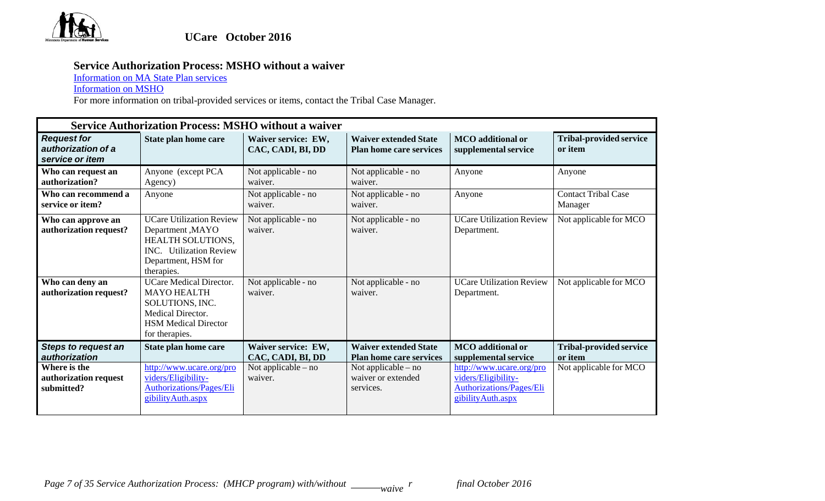

## **Service Authorization Process: MSHO without a waiver**

Information on MA State Plan services

Information on MSHO

|                                                             | <b>Service Authorization Process: MSHO without a waiver</b>                                                                                     |                                          |                                                                |                                                                                                          |                                           |
|-------------------------------------------------------------|-------------------------------------------------------------------------------------------------------------------------------------------------|------------------------------------------|----------------------------------------------------------------|----------------------------------------------------------------------------------------------------------|-------------------------------------------|
| <b>Request for</b><br>authorization of a<br>service or item | State plan home care                                                                                                                            | Waiver service: EW,<br>CAC, CADI, BI, DD | <b>Waiver extended State</b><br><b>Plan home care services</b> | <b>MCO</b> additional or<br>supplemental service                                                         | <b>Tribal-provided service</b><br>or item |
| Who can request an<br>authorization?                        | Anyone (except PCA<br>Agency)                                                                                                                   | Not applicable - no<br>waiver.           | Not applicable - no<br>waiver.                                 | Anyone                                                                                                   | Anyone                                    |
| Who can recommend a<br>service or item?                     | Anyone                                                                                                                                          | Not applicable - no<br>waiver.           | Not applicable - no<br>waiver.                                 | Anyone                                                                                                   | <b>Contact Tribal Case</b><br>Manager     |
| Who can approve an<br>authorization request?                | <b>UCare Utilization Review</b><br>Department, MAYO<br>HEALTH SOLUTIONS,<br><b>INC.</b> Utilization Review<br>Department, HSM for<br>therapies. | Not applicable - no<br>waiver.           | Not applicable - no<br>waiver.                                 | <b>UCare Utilization Review</b><br>Department.                                                           | Not applicable for MCO                    |
| Who can deny an<br>authorization request?                   | <b>UCare Medical Director.</b><br><b>MAYO HEALTH</b><br>SOLUTIONS, INC.<br>Medical Director.<br><b>HSM Medical Director</b><br>for therapies.   | Not applicable - no<br>waiver.           | Not applicable - no<br>waiver.                                 | <b>UCare Utilization Review</b><br>Department.                                                           | Not applicable for MCO                    |
| <b>Steps to request an</b><br>authorization                 | State plan home care                                                                                                                            | Waiver service: EW,<br>CAC, CADI, BI, DD | <b>Waiver extended State</b><br><b>Plan home care services</b> | <b>MCO</b> additional or<br>supplemental service                                                         | <b>Tribal-provided service</b><br>or item |
| Where is the<br>authorization request<br>submitted?         | http://www.ucare.org/pro<br>viders/Eligibility-<br><b>Authorizations/Pages/Eli</b><br>gibility Auth.aspx                                        | Not applicable $-$ no<br>waiver.         | Not applicable – no<br>waiver or extended<br>services.         | http://www.ucare.org/pro<br>viders/Eligibility-<br><b>Authorizations/Pages/Eli</b><br>gibility Auth.aspx | Not applicable for MCO                    |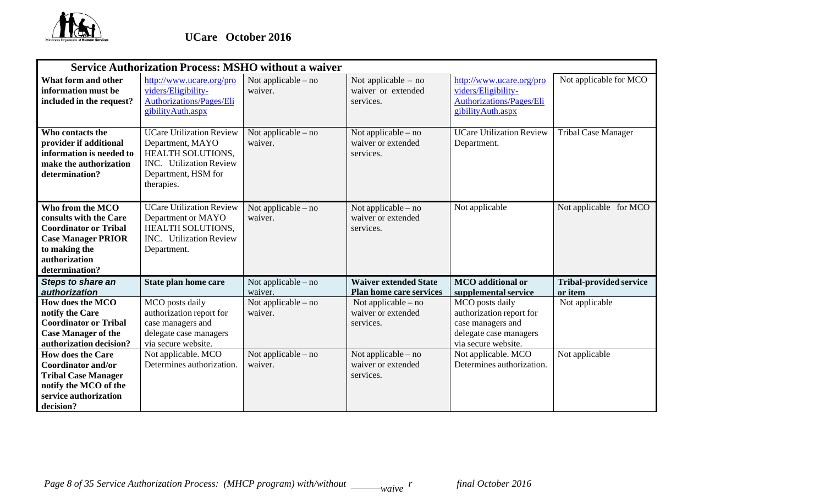

|                                                                                                                                                             | <b>Service Authorization Process: MSHO without a waiver</b>                                                                                     |                                  |                                                                |                                                                                                                   |                                           |
|-------------------------------------------------------------------------------------------------------------------------------------------------------------|-------------------------------------------------------------------------------------------------------------------------------------------------|----------------------------------|----------------------------------------------------------------|-------------------------------------------------------------------------------------------------------------------|-------------------------------------------|
| What form and other<br>information must be<br>included in the request?                                                                                      | http://www.ucare.org/pro<br>viders/Eligibility-<br><b>Authorizations/Pages/Eli</b><br>gibility Auth.aspx                                        | Not applicable $-$ no<br>waiver. | Not applicable $-$ no<br>waiver or extended<br>services.       | http://www.ucare.org/pro<br>viders/Eligibility-<br><b>Authorizations/Pages/Eli</b><br>gibility Auth.aspx          | Not applicable for MCO                    |
| Who contacts the<br>provider if additional<br>information is needed to<br>make the authorization<br>determination?                                          | <b>UCare Utilization Review</b><br>Department, MAYO<br><b>HEALTH SOLUTIONS.</b><br>INC. Utilization Review<br>Department, HSM for<br>therapies. | Not applicable – no<br>waiver.   | Not applicable – no<br>waiver or extended<br>services.         | <b>UCare Utilization Review</b><br>Department.                                                                    | <b>Tribal Case Manager</b>                |
| Who from the MCO<br>consults with the Care<br><b>Coordinator or Tribal</b><br><b>Case Manager PRIOR</b><br>to making the<br>authorization<br>determination? | <b>UCare Utilization Review</b><br>Department or MAYO<br><b>HEALTH SOLUTIONS,</b><br><b>INC.</b> Utilization Review<br>Department.              | Not applicable – no<br>waiver.   | Not applicable – no<br>waiver or extended<br>services.         | Not applicable                                                                                                    | Not applicable for MCO                    |
| <b>Steps to share an</b><br>authorization                                                                                                                   | State plan home care                                                                                                                            | Not applicable – no<br>waiver.   | <b>Waiver extended State</b><br><b>Plan home care services</b> | <b>MCO</b> additional or<br>supplemental service                                                                  | <b>Tribal-provided service</b><br>or item |
| How does the MCO<br>notify the Care<br><b>Coordinator or Tribal</b><br><b>Case Manager of the</b><br>authorization decision?                                | MCO posts daily<br>authorization report for<br>case managers and<br>delegate case managers<br>via secure website.                               | Not applicable – no<br>waiver.   | Not applicable $-$ no<br>waiver or extended<br>services.       | MCO posts daily<br>authorization report for<br>case managers and<br>delegate case managers<br>via secure website. | Not applicable                            |
| <b>How does the Care</b><br><b>Coordinator and/or</b><br><b>Tribal Case Manager</b><br>notify the MCO of the<br>service authorization<br>decision?          | Not applicable. MCO<br>Determines authorization.                                                                                                | Not applicable – no<br>waiver.   | Not applicable – no<br>waiver or extended<br>services.         | Not applicable. MCO<br>Determines authorization.                                                                  | Not applicable                            |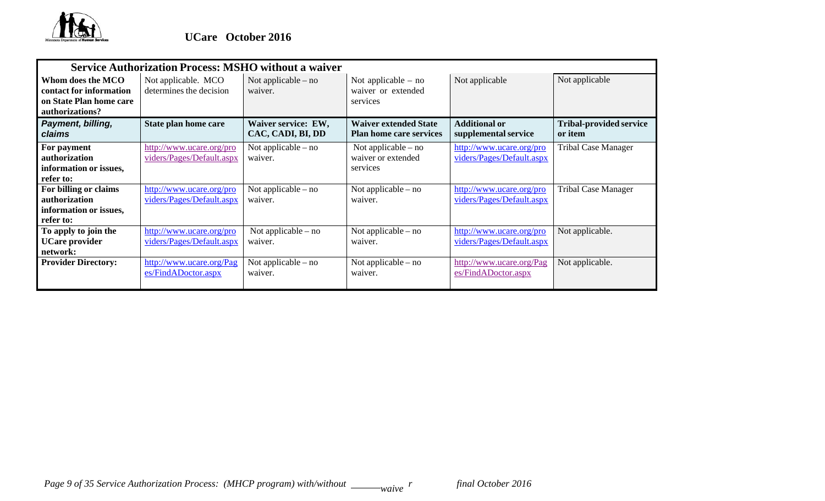

|                                                                                            | <b>Service Authorization Process: MSHO without a waiver</b> |                                          |                                                                |                                                       |                                           |
|--------------------------------------------------------------------------------------------|-------------------------------------------------------------|------------------------------------------|----------------------------------------------------------------|-------------------------------------------------------|-------------------------------------------|
| Whom does the MCO<br>contact for information<br>on State Plan home care<br>authorizations? | Not applicable. MCO<br>determines the decision              | Not applicable $-$ no<br>waiver.         | Not applicable $-$ no<br>waiver or extended<br>services        | Not applicable                                        | Not applicable                            |
| Payment, billing,<br>claims                                                                | State plan home care                                        | Waiver service: EW,<br>CAC, CADI, BI, DD | <b>Waiver extended State</b><br><b>Plan home care services</b> | <b>Additional or</b><br>supplemental service          | <b>Tribal-provided service</b><br>or item |
| For payment<br>authorization<br>information or issues,<br>refer to:                        | http://www.ucare.org/pro<br>viders/Pages/Default.aspx       | Not applicable $-$ no<br>waiver.         | Not applicable $-$ no<br>waiver or extended<br>services        | http://www.ucare.org/pro<br>viders/Pages/Default.aspx | <b>Tribal Case Manager</b>                |
| For billing or claims<br>authorization<br>information or issues,<br>refer to:              | http://www.ucare.org/pro<br>viders/Pages/Default.aspx       | Not applicable $-$ no<br>waiver.         | Not applicable $-$ no<br>waiver.                               | http://www.ucare.org/pro<br>viders/Pages/Default.aspx | <b>Tribal Case Manager</b>                |
| To apply to join the<br><b>UCare provider</b><br>network:                                  | http://www.ucare.org/pro<br>viders/Pages/Default.aspx       | Not applicable $-$ no<br>waiver.         | Not applicable $-$ no<br>waiver.                               | http://www.ucare.org/pro<br>viders/Pages/Default.aspx | Not applicable.                           |
| <b>Provider Directory:</b>                                                                 | http://www.ucare.org/Pag<br>es/FindADoctor.aspx             | Not applicable $-$ no<br>waiver.         | Not applicable – no<br>waiver.                                 | http://www.ucare.org/Pag<br>es/FindADoctor.aspx       | Not applicable.                           |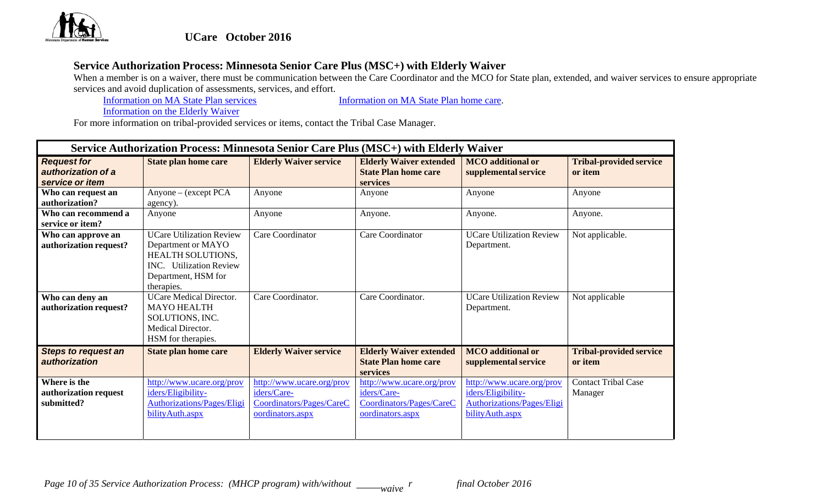

# **UCare October 2016**

## **Service Authorization Process: Minnesota Senior Care Plus (MSC+) with Elderly Waiver**

When a member is on a waiver, there must be communication between the Care Coordinator and the MCO for State plan, extended, and waiver services to ensure appropriate services and avoid duplication of assessments, services, and effort.

Information on MA State Plan services Information on MA State Plan home care.

Information on the Elderly Waiver

|                                                             | Service Authorization Process: Minnesota Senior Care Plus (MSC+) with Elderly Waiver                                                                     |                                                                                          |                                                                                          |                                                                                                   |                                           |
|-------------------------------------------------------------|----------------------------------------------------------------------------------------------------------------------------------------------------------|------------------------------------------------------------------------------------------|------------------------------------------------------------------------------------------|---------------------------------------------------------------------------------------------------|-------------------------------------------|
| <b>Request for</b><br>authorization of a<br>service or item | <b>State plan home care</b>                                                                                                                              | <b>Elderly Waiver service</b>                                                            | <b>Elderly Waiver extended</b><br><b>State Plan home care</b><br><b>services</b>         | <b>MCO</b> additional or<br>supplemental service                                                  | <b>Tribal-provided service</b><br>or item |
| Who can request an<br>authorization?                        | Anyone – (except PCA<br>agency).                                                                                                                         | Anyone                                                                                   | Anyone                                                                                   | Anyone                                                                                            | Anyone                                    |
| Who can recommend a<br>service or item?                     | Anyone                                                                                                                                                   | Anyone                                                                                   | Anyone.                                                                                  | Anyone.                                                                                           | Anyone.                                   |
| Who can approve an<br>authorization request?                | <b>UCare Utilization Review</b><br>Department or MAYO<br><b>HEALTH SOLUTIONS,</b><br><b>INC.</b> Utilization Review<br>Department, HSM for<br>therapies. | Care Coordinator                                                                         | Care Coordinator                                                                         | <b>UCare Utilization Review</b><br>Department.                                                    | Not applicable.                           |
| Who can deny an<br>authorization request?                   | <b>UCare Medical Director.</b><br><b>MAYO HEALTH</b><br>SOLUTIONS, INC.<br>Medical Director.<br>HSM for therapies.                                       | Care Coordinator.                                                                        | Care Coordinator.                                                                        | <b>UCare Utilization Review</b><br>Department.                                                    | Not applicable                            |
| <b>Steps to request an</b><br>authorization                 | <b>State plan home care</b>                                                                                                                              | <b>Elderly Waiver service</b>                                                            | <b>Elderly Waiver extended</b><br><b>State Plan home care</b><br><b>services</b>         | <b>MCO</b> additional or<br>supplemental service                                                  | <b>Tribal-provided service</b><br>or item |
| Where is the<br>authorization request<br>submitted?         | http://www.ucare.org/prov<br>iders/Eligibility-<br>Authorizations/Pages/Eligi<br>bility Auth.aspx                                                        | http://www.ucare.org/prov<br>iders/Care-<br>Coordinators/Pages/CareC<br>oordinators.aspx | http://www.ucare.org/prov<br>iders/Care-<br>Coordinators/Pages/CareC<br>oordinators.aspx | http://www.ucare.org/prov<br>iders/Eligibility-<br>Authorizations/Pages/Eligi<br>bility Auth.aspx | <b>Contact Tribal Case</b><br>Manager     |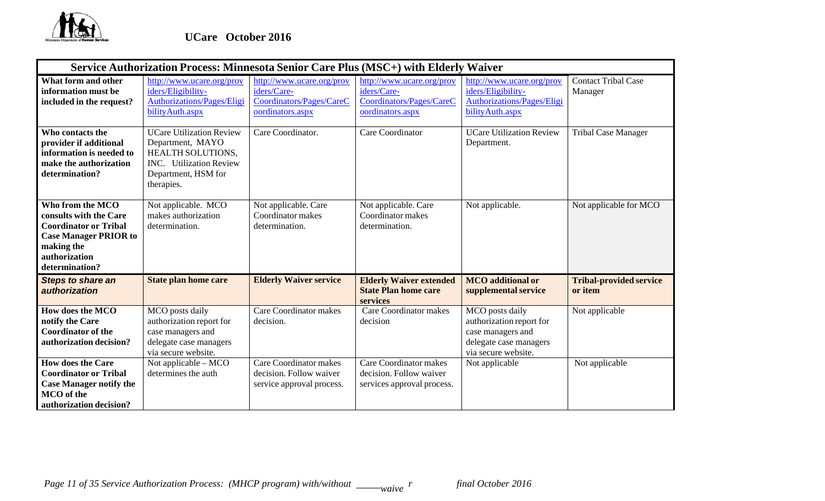

|                                                                                                                                                             | Service Authorization Process: Minnesota Senior Care Plus (MSC+) with Elderly Waiver                                                            |                                                                                          |                                                                                          |                                                                                                                   |                                           |  |  |  |  |
|-------------------------------------------------------------------------------------------------------------------------------------------------------------|-------------------------------------------------------------------------------------------------------------------------------------------------|------------------------------------------------------------------------------------------|------------------------------------------------------------------------------------------|-------------------------------------------------------------------------------------------------------------------|-------------------------------------------|--|--|--|--|
| What form and other<br>information must be<br>included in the request?                                                                                      | http://www.ucare.org/prov<br>iders/Eligibility-<br>Authorizations/Pages/Eligi<br>bilityAuth.aspx                                                | http://www.ucare.org/prov<br>iders/Care-<br>Coordinators/Pages/CareC<br>oordinators.aspx | http://www.ucare.org/prov<br>iders/Care-<br>Coordinators/Pages/CareC<br>oordinators.aspx | http://www.ucare.org/prov<br>iders/Eligibility-<br><b>Authorizations/Pages/Eligi</b><br>bility Auth.aspx          | <b>Contact Tribal Case</b><br>Manager     |  |  |  |  |
| Who contacts the<br>provider if additional<br>information is needed to<br>make the authorization<br>determination?                                          | <b>UCare Utilization Review</b><br>Department, MAYO<br>HEALTH SOLUTIONS,<br><b>INC.</b> Utilization Review<br>Department, HSM for<br>therapies. | Care Coordinator.                                                                        | Care Coordinator                                                                         | <b>UCare Utilization Review</b><br>Department.                                                                    | <b>Tribal Case Manager</b>                |  |  |  |  |
| Who from the MCO<br>consults with the Care<br><b>Coordinator or Tribal</b><br><b>Case Manager PRIOR to</b><br>making the<br>authorization<br>determination? | Not applicable. MCO<br>makes authorization<br>determination.                                                                                    | Not applicable. Care<br>Coordinator makes<br>determination.                              | Not applicable. Care<br>Coordinator makes<br>determination.                              | Not applicable.                                                                                                   | Not applicable for MCO                    |  |  |  |  |
| <b>Steps to share an</b><br>authorization                                                                                                                   | <b>State plan home care</b>                                                                                                                     | <b>Elderly Waiver service</b>                                                            | <b>Elderly Waiver extended</b><br><b>State Plan home care</b><br>services                | <b>MCO</b> additional or<br>supplemental service                                                                  | <b>Tribal-provided service</b><br>or item |  |  |  |  |
| How does the MCO<br>notify the Care<br><b>Coordinator of the</b><br>authorization decision?                                                                 | MCO posts daily<br>authorization report for<br>case managers and<br>delegate case managers<br>via secure website.                               | <b>Care Coordinator makes</b><br>decision.                                               | <b>Care Coordinator makes</b><br>decision                                                | MCO posts daily<br>authorization report for<br>case managers and<br>delegate case managers<br>via secure website. | Not applicable                            |  |  |  |  |
| <b>How does the Care</b><br><b>Coordinator or Tribal</b><br><b>Case Manager notify the</b><br><b>MCO</b> of the<br>authorization decision?                  | Not applicable $-$ MCO<br>determines the auth                                                                                                   | <b>Care Coordinator makes</b><br>decision. Follow waiver<br>service approval process.    | Care Coordinator makes<br>decision. Follow waiver<br>services approval process.          | Not applicable                                                                                                    | Not applicable                            |  |  |  |  |

*Page 11 of 35 Service Authorization Process: (MHCP program) with/without* \_\_\_\_\_\_*waive*  $^r$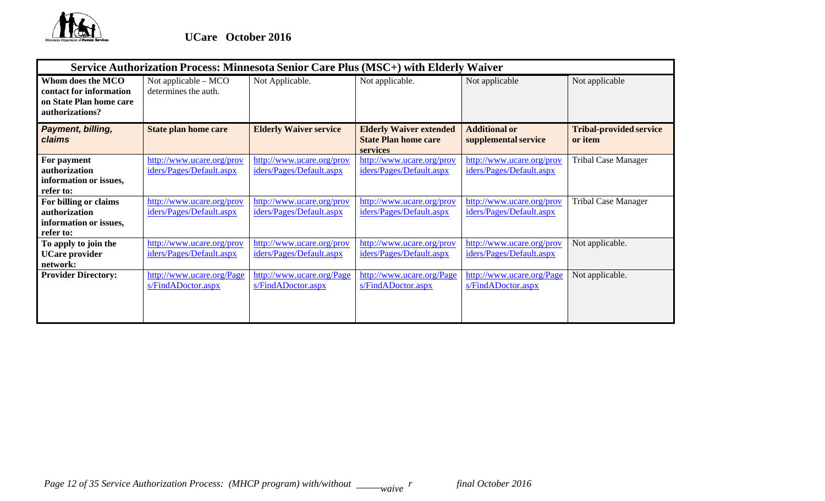

|                                                                                            | Service Authorization Process: Minnesota Senior Care Plus (MSC+) with Elderly Waiver |                                                       |                                                                                  |                                                       |                                           |  |  |  |  |
|--------------------------------------------------------------------------------------------|--------------------------------------------------------------------------------------|-------------------------------------------------------|----------------------------------------------------------------------------------|-------------------------------------------------------|-------------------------------------------|--|--|--|--|
| Whom does the MCO<br>contact for information<br>on State Plan home care<br>authorizations? | Not applicable $-$ MCO<br>determines the auth.                                       | Not Applicable.                                       | Not applicable.                                                                  | Not applicable                                        | Not applicable                            |  |  |  |  |
| Payment, billing,<br>claims                                                                | <b>State plan home care</b>                                                          | <b>Elderly Waiver service</b>                         | <b>Elderly Waiver extended</b><br><b>State Plan home care</b><br><b>services</b> | <b>Additional or</b><br>supplemental service          | <b>Tribal-provided service</b><br>or item |  |  |  |  |
| For payment<br>authorization<br>information or issues,<br>refer to:                        | http://www.ucare.org/prov<br>iders/Pages/Default.aspx                                | http://www.ucare.org/prov<br>iders/Pages/Default.aspx | http://www.ucare.org/prov<br>iders/Pages/Default.aspx                            | http://www.ucare.org/prov<br>iders/Pages/Default.aspx | <b>Tribal Case Manager</b>                |  |  |  |  |
| For billing or claims<br>authorization<br>information or issues,<br>refer to:              | http://www.ucare.org/prov<br>iders/Pages/Default.aspx                                | http://www.ucare.org/prov<br>iders/Pages/Default.aspx | http://www.ucare.org/prov<br>iders/Pages/Default.aspx                            | http://www.ucare.org/prov<br>iders/Pages/Default.aspx | <b>Tribal Case Manager</b>                |  |  |  |  |
| To apply to join the<br><b>UCare provider</b><br>network:                                  | http://www.ucare.org/prov<br>iders/Pages/Default.aspx                                | http://www.ucare.org/prov<br>iders/Pages/Default.aspx | http://www.ucare.org/prov<br>iders/Pages/Default.aspx                            | http://www.ucare.org/prov<br>iders/Pages/Default.aspx | Not applicable.                           |  |  |  |  |
| <b>Provider Directory:</b>                                                                 | http://www.ucare.org/Page<br>s/FindADoctor.aspx                                      | http://www.ucare.org/Page<br>s/FindADoctor.aspx       | http://www.ucare.org/Page<br>s/FindADoctor.aspx                                  | http://www.ucare.org/Page<br>s/FindADoctor.aspx       | Not applicable.                           |  |  |  |  |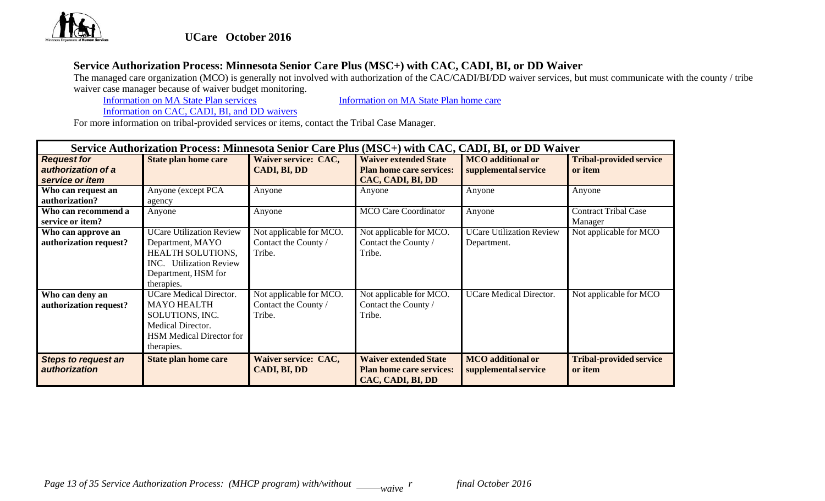

# **Service Authorization Process: Minnesota Senior Care Plus (MSC+) with CAC, CADI, BI, or DD Waiver**

The managed care organization (MCO) is generally not involved with authorization of the CAC/CADI/BI/DD waiver services, but must communicate with the county / tribe waiver case manager because of waiver budget monitoring.<br>Information on MA State Plan services

Information on MA State Plan services **Information** on MA State Plan home care

Information on CAC, CADI, BI, and DD waivers

|                                             | Service Authorization Process: Minnesota Senior Care Plus (MSC+) with CAC, CADI, BI, or DD Waiver |                                      |                                                                                      |                                                  |                                           |  |  |  |
|---------------------------------------------|---------------------------------------------------------------------------------------------------|--------------------------------------|--------------------------------------------------------------------------------------|--------------------------------------------------|-------------------------------------------|--|--|--|
| <b>Request for</b>                          | <b>State plan home care</b>                                                                       | Waiver service: CAC,                 | <b>Waiver extended State</b>                                                         | <b>MCO</b> additional or                         | <b>Tribal-provided service</b>            |  |  |  |
| authorization of a                          |                                                                                                   | CADI, BI, DD                         | <b>Plan home care services:</b>                                                      | supplemental service                             | or item                                   |  |  |  |
| service or item                             |                                                                                                   |                                      | CAC, CADI, BI, DD                                                                    |                                                  |                                           |  |  |  |
| Who can request an                          | Anyone (except PCA                                                                                | Anyone                               | Anyone                                                                               | Anyone                                           | Anyone                                    |  |  |  |
| authorization?                              | agency                                                                                            |                                      |                                                                                      |                                                  |                                           |  |  |  |
| Who can recommend a                         | Anyone                                                                                            | Anyone                               | <b>MCO</b> Care Coordinator                                                          | Anyone                                           | <b>Contract Tribal Case</b>               |  |  |  |
| service or item?                            |                                                                                                   |                                      |                                                                                      |                                                  | Manager                                   |  |  |  |
| Who can approve an                          | <b>UCare Utilization Review</b>                                                                   | Not applicable for MCO.              | Not applicable for MCO.                                                              | <b>UCare Utilization Review</b>                  | Not applicable for MCO                    |  |  |  |
| authorization request?                      | Department, MAYO                                                                                  | Contact the County /                 | Contact the County /                                                                 | Department.                                      |                                           |  |  |  |
|                                             | HEALTH SOLUTIONS,                                                                                 | Tribe.                               | Tribe.                                                                               |                                                  |                                           |  |  |  |
|                                             | <b>INC.</b> Utilization Review                                                                    |                                      |                                                                                      |                                                  |                                           |  |  |  |
|                                             | Department, HSM for                                                                               |                                      |                                                                                      |                                                  |                                           |  |  |  |
|                                             | therapies.                                                                                        |                                      |                                                                                      |                                                  |                                           |  |  |  |
| Who can deny an                             | <b>UCare Medical Director.</b>                                                                    | Not applicable for MCO.              | Not applicable for MCO.                                                              | <b>UCare Medical Director.</b>                   | Not applicable for MCO                    |  |  |  |
| authorization request?                      | <b>MAYO HEALTH</b>                                                                                | Contact the County /                 | Contact the County /                                                                 |                                                  |                                           |  |  |  |
|                                             | SOLUTIONS, INC.                                                                                   | Tribe.                               | Tribe.                                                                               |                                                  |                                           |  |  |  |
|                                             | Medical Director.                                                                                 |                                      |                                                                                      |                                                  |                                           |  |  |  |
|                                             | <b>HSM</b> Medical Director for                                                                   |                                      |                                                                                      |                                                  |                                           |  |  |  |
|                                             | therapies.                                                                                        |                                      |                                                                                      |                                                  |                                           |  |  |  |
| <b>Steps to request an</b><br>authorization | <b>State plan home care</b>                                                                       | Waiver service: CAC,<br>CADI, BI, DD | <b>Waiver extended State</b><br><b>Plan home care services:</b><br>CAC, CADI, BI, DD | <b>MCO</b> additional or<br>supplemental service | <b>Tribal-provided service</b><br>or item |  |  |  |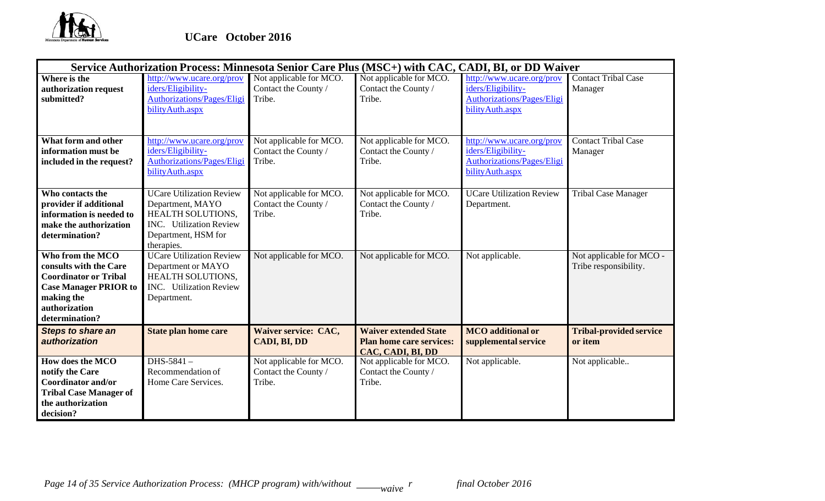

|                                                                                                                                                             |                                                                                                                                          |                                                           |                                                                                      | Service Authorization Process: Minnesota Senior Care Plus (MSC+) with CAC, CADI, BI, or DD Waiver        |                                                   |
|-------------------------------------------------------------------------------------------------------------------------------------------------------------|------------------------------------------------------------------------------------------------------------------------------------------|-----------------------------------------------------------|--------------------------------------------------------------------------------------|----------------------------------------------------------------------------------------------------------|---------------------------------------------------|
| Where is the<br>authorization request<br>submitted?                                                                                                         | http://www.ucare.org/prov<br>iders/Eligibility-<br><b>Authorizations/Pages/Eligi</b><br>bilityAuth.aspx                                  | Not applicable for MCO.<br>Contact the County /<br>Tribe. | Not applicable for MCO.<br>Contact the County /<br>Tribe.                            | http://www.ucare.org/prov<br>iders/Eligibility-<br><b>Authorizations/Pages/Eligi</b><br>bility Auth.aspx | <b>Contact Tribal Case</b><br>Manager             |
| What form and other<br>information must be<br>included in the request?                                                                                      | http://www.ucare.org/prov<br>iders/Eligibility-<br><b>Authorizations/Pages/Eligi</b><br>bilityAuth.aspx                                  | Not applicable for MCO.<br>Contact the County /<br>Tribe. | Not applicable for MCO.<br>Contact the County /<br>Tribe.                            | http://www.ucare.org/prov<br>iders/Eligibility-<br><b>Authorizations/Pages/Eligi</b><br>bility Auth.aspx | <b>Contact Tribal Case</b><br>Manager             |
| Who contacts the<br>provider if additional<br>information is needed to<br>make the authorization<br>determination?                                          | <b>UCare Utilization Review</b><br>Department, MAYO<br>HEALTH SOLUTIONS,<br>INC. Utilization Review<br>Department, HSM for<br>therapies. | Not applicable for MCO.<br>Contact the County /<br>Tribe. | Not applicable for MCO.<br>Contact the County /<br>Tribe.                            | <b>UCare Utilization Review</b><br>Department.                                                           | <b>Tribal Case Manager</b>                        |
| Who from the MCO<br>consults with the Care<br><b>Coordinator or Tribal</b><br><b>Case Manager PRIOR to</b><br>making the<br>authorization<br>determination? | <b>UCare Utilization Review</b><br>Department or MAYO<br>HEALTH SOLUTIONS,<br><b>INC.</b> Utilization Review<br>Department.              | Not applicable for MCO.                                   | Not applicable for MCO.                                                              | Not applicable.                                                                                          | Not applicable for MCO -<br>Tribe responsibility. |
| <b>Steps to share an</b><br>authorization                                                                                                                   | <b>State plan home care</b>                                                                                                              | <b>Waiver service: CAC,</b><br>CADI, BI, DD               | <b>Waiver extended State</b><br><b>Plan home care services:</b><br>CAC, CADI, BI, DD | <b>MCO</b> additional or<br>supplemental service                                                         | <b>Tribal-provided service</b><br>or item         |
| How does the MCO<br>notify the Care<br><b>Coordinator and/or</b><br><b>Tribal Case Manager of</b><br>the authorization<br>decision?                         | DHS-5841-<br>Recommendation of<br>Home Care Services.                                                                                    | Not applicable for MCO.<br>Contact the County /<br>Tribe. | Not applicable for MCO.<br>Contact the County /<br>Tribe.                            | Not applicable.                                                                                          | Not applicable                                    |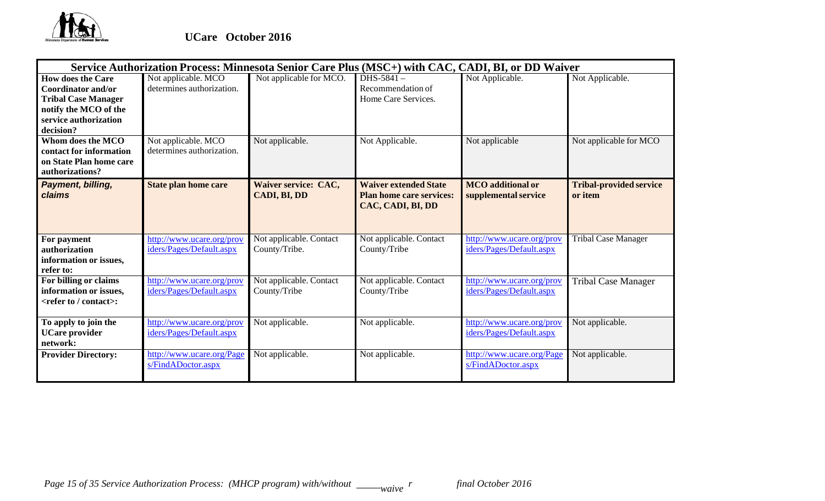

|                                                                                                                                                    | Service Authorization Process: Minnesota Senior Care Plus (MSC+) with CAC, CADI, BI, or DD Waiver |                                          |                                                                                      |                                                       |                                           |
|----------------------------------------------------------------------------------------------------------------------------------------------------|---------------------------------------------------------------------------------------------------|------------------------------------------|--------------------------------------------------------------------------------------|-------------------------------------------------------|-------------------------------------------|
| <b>How does the Care</b><br><b>Coordinator and/or</b><br><b>Tribal Case Manager</b><br>notify the MCO of the<br>service authorization<br>decision? | Not applicable. MCO<br>determines authorization.                                                  | Not applicable for MCO.                  | DHS-5841-<br>Recommendation of<br>Home Care Services.                                | Not Applicable.                                       | Not Applicable.                           |
| Whom does the MCO<br>contact for information<br>on State Plan home care<br>authorizations?                                                         | Not applicable. MCO<br>determines authorization.                                                  | Not applicable.                          | Not Applicable.                                                                      | Not applicable                                        | Not applicable for MCO                    |
| Payment, billing,<br>claims                                                                                                                        | <b>State plan home care</b>                                                                       | Waiver service: CAC,<br>CADI, BI, DD     | <b>Waiver extended State</b><br><b>Plan home care services:</b><br>CAC, CADI, BI, DD | <b>MCO</b> additional or<br>supplemental service      | <b>Tribal-provided service</b><br>or item |
| For payment<br>authorization<br>information or issues,<br>refer to:                                                                                | http://www.ucare.org/prov<br>iders/Pages/Default.aspx                                             | Not applicable. Contact<br>County/Tribe. | Not applicable. Contact<br>County/Tribe                                              | http://www.ucare.org/prov<br>iders/Pages/Default.aspx | <b>Tribal Case Manager</b>                |
| For billing or claims<br>information or issues,<br><refer contact="" to="">:</refer>                                                               | http://www.ucare.org/prov<br>iders/Pages/Default.aspx                                             | Not applicable. Contact<br>County/Tribe  | Not applicable. Contact<br>County/Tribe                                              | http://www.ucare.org/prov<br>iders/Pages/Default.aspx | <b>Tribal Case Manager</b>                |
| To apply to join the<br><b>UCare provider</b><br>network:                                                                                          | http://www.ucare.org/prov<br>iders/Pages/Default.aspx                                             | Not applicable.                          | Not applicable.                                                                      | http://www.ucare.org/prov<br>iders/Pages/Default.aspx | Not applicable.                           |
| <b>Provider Directory:</b>                                                                                                                         | http://www.ucare.org/Page<br>s/FindADoctor.aspx                                                   | Not applicable.                          | Not applicable.                                                                      | http://www.ucare.org/Page<br>s/FindADoctor.aspx       | Not applicable.                           |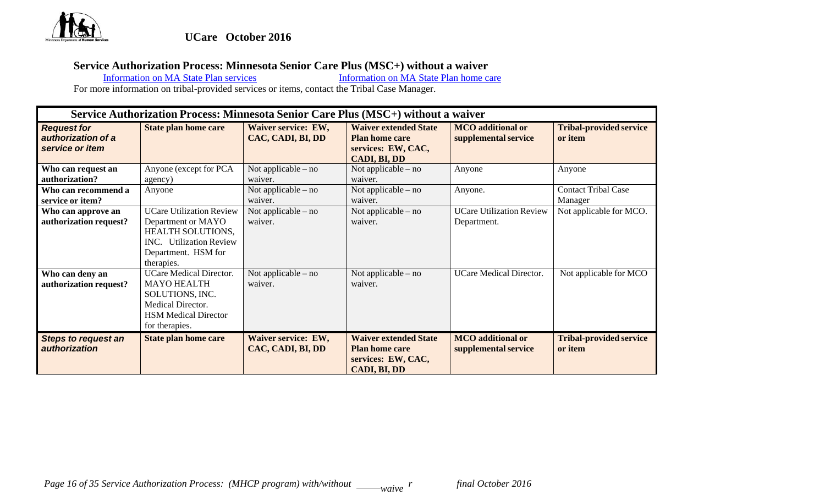

#### **Service Authorization Process: Minnesota Senior Care Plus (MSC+) without a waiver**

Information on MA State Plan services Information on MA State Plan home care Information on MA State Plan home care

|                                                             | Service Authorization Process: Minnesota Senior Care Plus (MSC+) without a waiver                                                                        |                                          |                                                                                             |                                                  |                                           |  |  |
|-------------------------------------------------------------|----------------------------------------------------------------------------------------------------------------------------------------------------------|------------------------------------------|---------------------------------------------------------------------------------------------|--------------------------------------------------|-------------------------------------------|--|--|
| <b>Request for</b><br>authorization of a<br>service or item | <b>State plan home care</b>                                                                                                                              | Waiver service: EW,<br>CAC, CADI, BI, DD | <b>Waiver extended State</b><br><b>Plan home care</b><br>services: EW, CAC,<br>CADI, BI, DD | <b>MCO</b> additional or<br>supplemental service | <b>Tribal-provided service</b><br>or item |  |  |
| Who can request an<br>authorization?                        | Anyone (except for PCA<br>agency)                                                                                                                        | Not applicable $-$ no<br>waiver.         | Not applicable $-$ no<br>waiver.                                                            | Anyone                                           | Anyone                                    |  |  |
| Who can recommend a<br>service or item?                     | Anyone                                                                                                                                                   | Not applicable $-$ no<br>waiver.         | Not applicable – no<br>waiver.                                                              | Anyone.                                          | <b>Contact Tribal Case</b><br>Manager     |  |  |
| Who can approve an<br>authorization request?                | <b>UCare Utilization Review</b><br>Department or MAYO<br><b>HEALTH SOLUTIONS,</b><br><b>INC.</b> Utilization Review<br>Department. HSM for<br>therapies. | Not applicable $-$ no<br>waiver.         | Not applicable – no<br>waiver.                                                              | <b>UCare Utilization Review</b><br>Department.   | Not applicable for MCO.                   |  |  |
| Who can deny an<br>authorization request?                   | <b>UCare Medical Director.</b><br><b>MAYO HEALTH</b><br>SOLUTIONS, INC.<br>Medical Director.<br><b>HSM Medical Director</b><br>for therapies.            | Not applicable $-$ no<br>waiver.         | Not applicable $-$ no<br>waiver.                                                            | <b>UCare Medical Director.</b>                   | Not applicable for MCO                    |  |  |
| <b>Steps to request an</b><br><i>authorization</i>          | <b>State plan home care</b>                                                                                                                              | Waiver service: EW,<br>CAC, CADI, BI, DD | <b>Waiver extended State</b><br><b>Plan home care</b><br>services: EW, CAC,<br>CADI, BI, DD | <b>MCO</b> additional or<br>supplemental service | <b>Tribal-provided service</b><br>or item |  |  |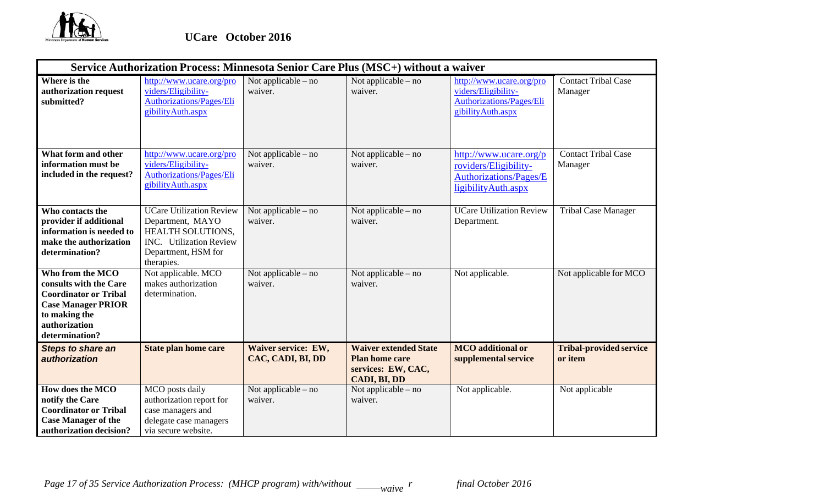

|                                                                                                                                                             | Service Authorization Process: Minnesota Senior Care Plus (MSC+) without a waiver                                                               |                                          |                                                                                             |                                                                                                          |                                           |
|-------------------------------------------------------------------------------------------------------------------------------------------------------------|-------------------------------------------------------------------------------------------------------------------------------------------------|------------------------------------------|---------------------------------------------------------------------------------------------|----------------------------------------------------------------------------------------------------------|-------------------------------------------|
| Where is the<br>authorization request<br>submitted?                                                                                                         | http://www.ucare.org/pro<br>viders/Eligibility-<br><b>Authorizations/Pages/Eli</b><br>gibility Auth.aspx                                        | Not applicable – no<br>waiver.           | Not applicable – no<br>waiver.                                                              | http://www.ucare.org/pro<br>viders/Eligibility-<br><b>Authorizations/Pages/Eli</b><br>gibility Auth.aspx | <b>Contact Tribal Case</b><br>Manager     |
| What form and other<br>information must be<br>included in the request?                                                                                      | http://www.ucare.org/pro<br>viders/Eligibility-<br><b>Authorizations/Pages/Eli</b><br>gibility Auth.aspx                                        | Not applicable – no<br>waiver.           | Not applicable – no<br>waiver.                                                              | http://www.ucare.org/p<br>roviders/Eligibility-<br><b>Authorizations/Pages/E</b><br>ligibilityAuth.aspx  | <b>Contact Tribal Case</b><br>Manager     |
| Who contacts the<br>provider if additional<br>information is needed to<br>make the authorization<br>determination?                                          | <b>UCare Utilization Review</b><br>Department, MAYO<br>HEALTH SOLUTIONS,<br><b>INC.</b> Utilization Review<br>Department, HSM for<br>therapies. | Not applicable – no<br>waiver.           | Not applicable – no<br>waiver.                                                              | <b>UCare Utilization Review</b><br>Department.                                                           | <b>Tribal Case Manager</b>                |
| Who from the MCO<br>consults with the Care<br><b>Coordinator or Tribal</b><br><b>Case Manager PRIOR</b><br>to making the<br>authorization<br>determination? | Not applicable. MCO<br>makes authorization<br>determination.                                                                                    | Not applicable – no<br>waiver.           | Not applicable – no<br>waiver.                                                              | Not applicable.                                                                                          | Not applicable for MCO                    |
| <b>Steps to share an</b><br>authorization                                                                                                                   | <b>State plan home care</b>                                                                                                                     | Waiver service: EW,<br>CAC, CADI, BI, DD | <b>Waiver extended State</b><br><b>Plan home care</b><br>services: EW, CAC,<br>CADI, BI, DD | <b>MCO</b> additional or<br>supplemental service                                                         | <b>Tribal-provided service</b><br>or item |
| How does the MCO<br>notify the Care<br><b>Coordinator or Tribal</b><br><b>Case Manager of the</b><br>authorization decision?                                | MCO posts daily<br>authorization report for<br>case managers and<br>delegate case managers<br>via secure website.                               | Not applicable – no<br>waiver.           | Not applicable – no<br>waiver.                                                              | Not applicable.                                                                                          | Not applicable                            |

*Page 17 of 35 Service Authorization Process: (MHCP program) with/without* \_\_\_\_\_*waive*  $^r$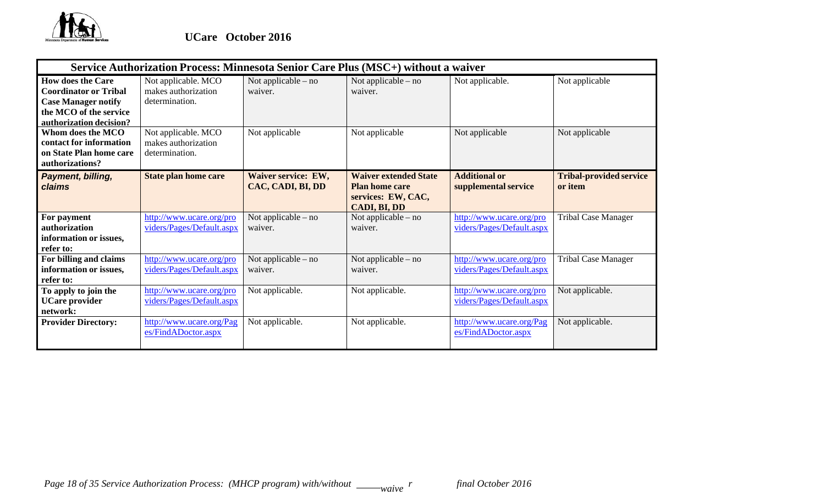

|                                                                                                                                             | Service Authorization Process: Minnesota Senior Care Plus (MSC+) without a waiver |                                          |                                                                                             |                                                       |                                           |
|---------------------------------------------------------------------------------------------------------------------------------------------|-----------------------------------------------------------------------------------|------------------------------------------|---------------------------------------------------------------------------------------------|-------------------------------------------------------|-------------------------------------------|
| <b>How does the Care</b><br><b>Coordinator or Tribal</b><br><b>Case Manager notify</b><br>the MCO of the service<br>authorization decision? | Not applicable. MCO<br>makes authorization<br>determination.                      | Not applicable $-$ no<br>waiver.         | Not applicable $-$ no<br>waiver.                                                            | Not applicable.                                       | Not applicable                            |
| Whom does the MCO<br>contact for information<br>on State Plan home care<br>authorizations?                                                  | Not applicable. MCO<br>makes authorization<br>determination.                      | Not applicable                           | Not applicable                                                                              | Not applicable                                        | Not applicable                            |
| Payment, billing,<br><b>claims</b>                                                                                                          | <b>State plan home care</b>                                                       | Waiver service: EW,<br>CAC, CADI, BI, DD | <b>Waiver extended State</b><br><b>Plan home care</b><br>services: EW, CAC,<br>CADI, BI, DD | <b>Additional or</b><br>supplemental service          | <b>Tribal-provided service</b><br>or item |
| For payment<br>authorization<br>information or issues,<br>refer to:                                                                         | http://www.ucare.org/pro<br>viders/Pages/Default.aspx                             | Not applicable $-$ no<br>waiver.         | Not applicable – no<br>waiver.                                                              | http://www.ucare.org/pro<br>viders/Pages/Default.aspx | <b>Tribal Case Manager</b>                |
| For billing and claims<br>information or issues,<br>refer to:                                                                               | http://www.ucare.org/pro<br>viders/Pages/Default.aspx                             | Not applicable $-$ no<br>waiver.         | Not applicable – no<br>waiver.                                                              | http://www.ucare.org/pro<br>viders/Pages/Default.aspx | <b>Tribal Case Manager</b>                |
| To apply to join the<br><b>UCare provider</b><br>network:                                                                                   | http://www.ucare.org/pro<br>viders/Pages/Default.aspx                             | Not applicable.                          | Not applicable.                                                                             | http://www.ucare.org/pro<br>viders/Pages/Default.aspx | Not applicable.                           |
| <b>Provider Directory:</b>                                                                                                                  | http://www.ucare.org/Pag<br>es/FindADoctor.aspx                                   | Not applicable.                          | Not applicable.                                                                             | http://www.ucare.org/Pag<br>es/FindADoctor.aspx       | Not applicable.                           |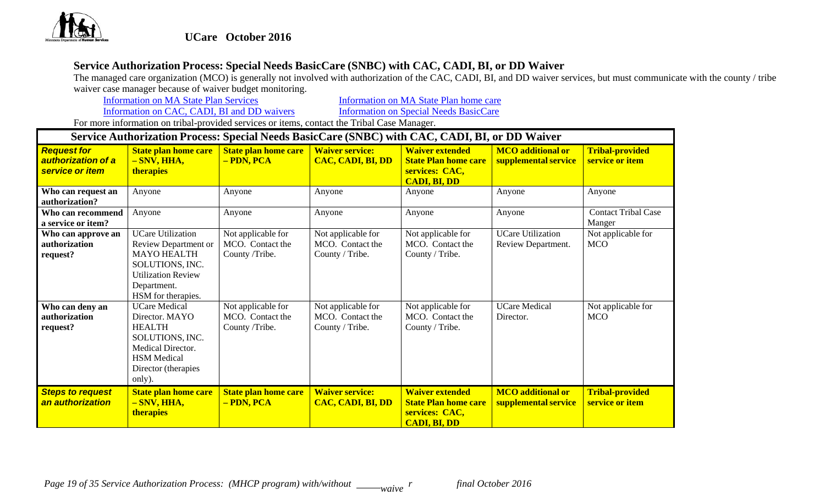

# **Service Authorization Process: Special Needs BasicCare (SNBC) with CAC, CADI, BI, or DD Waiver**

The managed care organization (MCO) is generally not involved with authorization of the CAC, CADI, BI, and DD waiver services, but must communicate with the county / tribe waiver case manager because of waiver budget monitoring.<br>Information on MA State Plan Services

Information on MA State Plan Services **Information** on MA State Plan home care

Information on CAC, CADI, BI and DD waivers Information on Special Needs BasicCare

|                                                             | Service Authorization Process: Special Needs BasicCare (SNBC) with CAC, CADI, BI, or DD Waiver                                                         |                                                          |                                                           |                                                                                                |                                                  |                                           |  |  |
|-------------------------------------------------------------|--------------------------------------------------------------------------------------------------------------------------------------------------------|----------------------------------------------------------|-----------------------------------------------------------|------------------------------------------------------------------------------------------------|--------------------------------------------------|-------------------------------------------|--|--|
| <b>Request for</b><br>authorization of a<br>service or item | <b>State plan home care</b><br>$-SNV, HHA,$<br><b>therapies</b>                                                                                        | <b>State plan home care</b><br>- PDN, PCA                | <b>Waiver service:</b><br>CAC, CADI, BI, DD               | <b>Waiver extended</b><br><b>State Plan home care</b><br>services: CAC,<br><b>CADI, BI, DD</b> | <b>MCO</b> additional or<br>supplemental service | <b>Tribal-provided</b><br>service or item |  |  |
| Who can request an                                          | Anyone                                                                                                                                                 | Anyone                                                   | Anyone                                                    | Anyone                                                                                         | Anyone                                           | Anyone                                    |  |  |
| authorization?                                              |                                                                                                                                                        |                                                          |                                                           |                                                                                                |                                                  |                                           |  |  |
| Who can recommend                                           | Anyone                                                                                                                                                 | Anyone                                                   | Anyone                                                    | Anyone                                                                                         | Anyone                                           | <b>Contact Tribal Case</b>                |  |  |
| a service or item?                                          |                                                                                                                                                        |                                                          |                                                           |                                                                                                |                                                  | Manger                                    |  |  |
| Who can approve an                                          | <b>UCare Utilization</b>                                                                                                                               | Not applicable for                                       | Not applicable for                                        | Not applicable for                                                                             | <b>UCare Utilization</b>                         | Not applicable for                        |  |  |
| authorization                                               | Review Department or                                                                                                                                   | MCO. Contact the                                         | MCO. Contact the                                          | MCO. Contact the                                                                               | Review Department.                               | <b>MCO</b>                                |  |  |
| request?                                                    | <b>MAYO HEALTH</b><br>SOLUTIONS, INC.<br><b>Utilization Review</b><br>Department.<br>HSM for therapies.                                                | County /Tribe.                                           | County / Tribe.                                           | County / Tribe.                                                                                |                                                  |                                           |  |  |
| Who can deny an<br>authorization<br>request?                | <b>UCare Medical</b><br>Director. MAYO<br><b>HEALTH</b><br>SOLUTIONS, INC.<br>Medical Director.<br><b>HSM</b> Medical<br>Director (therapies<br>only). | Not applicable for<br>MCO. Contact the<br>County /Tribe. | Not applicable for<br>MCO. Contact the<br>County / Tribe. | Not applicable for<br>MCO. Contact the<br>County / Tribe.                                      | <b>UCare Medical</b><br>Director.                | Not applicable for<br><b>MCO</b>          |  |  |
| <b>Steps to request</b><br>an authorization                 | <b>State plan home care</b><br>- SNV, HHA,<br><b>therapies</b>                                                                                         | <b>State plan home care</b><br>- PDN, PCA                | <b>Waiver service:</b><br>CAC, CADI, BI, DD               | <b>Waiver extended</b><br><b>State Plan home care</b><br>services: CAC,<br><b>CADI, BI, DD</b> | <b>MCO</b> additional or<br>supplemental service | <b>Tribal-provided</b><br>service or item |  |  |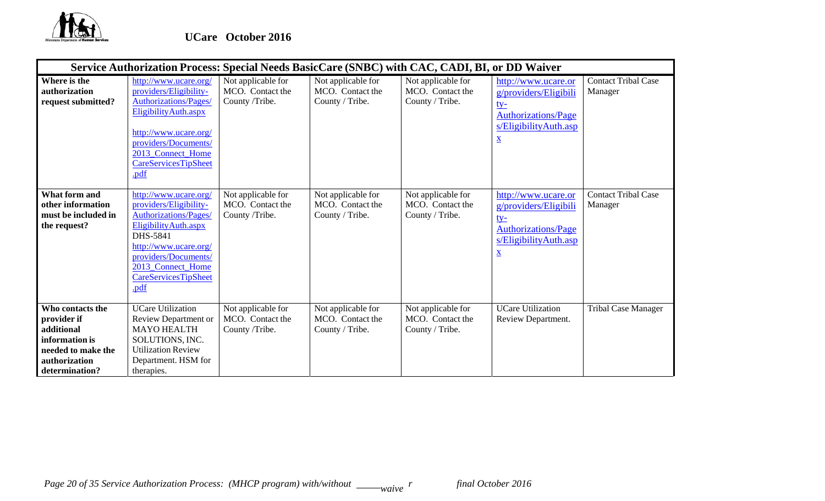

|                                                                                                                          | Service Authorization Process: Special Needs BasicCare (SNBC) with CAC, CADI, BI, or DD Waiver                                                                                                                                    |                                                          |                                                           |                                                           |                                                                                                                                               |                                       |
|--------------------------------------------------------------------------------------------------------------------------|-----------------------------------------------------------------------------------------------------------------------------------------------------------------------------------------------------------------------------------|----------------------------------------------------------|-----------------------------------------------------------|-----------------------------------------------------------|-----------------------------------------------------------------------------------------------------------------------------------------------|---------------------------------------|
| Where is the<br>authorization<br>request submitted?                                                                      | http://www.ucare.org/<br>providers/Eligibility-<br><b>Authorizations/Pages/</b><br>Eligibility Auth.aspx<br>http://www.ucare.org/<br>providers/Documents/<br>2013_Connect_Home<br><b>CareServicesTipSheet</b><br>.pdf             | Not applicable for<br>MCO. Contact the<br>County /Tribe. | Not applicable for<br>MCO. Contact the<br>County / Tribe. | Not applicable for<br>MCO. Contact the<br>County / Tribe. | http://www.ucare.or<br>g/providers/Eligibili<br><u>ty-</u><br><b>Authorizations/Page</b><br>s/EligibilityAuth.asp<br>$\underline{\mathbf{X}}$ | <b>Contact Tribal Case</b><br>Manager |
| <b>What form and</b><br>other information<br>must be included in<br>the request?                                         | http://www.ucare.org/<br>providers/Eligibility-<br><b>Authorizations/Pages/</b><br>Eligibility Auth.aspx<br>DHS-5841<br>http://www.ucare.org/<br>providers/Documents/<br>2013 Connect Home<br><b>CareServicesTipSheet</b><br>.pdf | Not applicable for<br>MCO. Contact the<br>County /Tribe. | Not applicable for<br>MCO. Contact the<br>County / Tribe. | Not applicable for<br>MCO. Contact the<br>County / Tribe. | http://www.ucare.or<br>g/providers/Eligibili<br><u>ty-</u><br><b>Authorizations/Page</b><br>s/EligibilityAuth.asp<br>$\underline{\mathbf{X}}$ | <b>Contact Tribal Case</b><br>Manager |
| Who contacts the<br>provider if<br>additional<br>information is<br>needed to make the<br>authorization<br>determination? | <b>UCare Utilization</b><br>Review Department or<br><b>MAYO HEALTH</b><br>SOLUTIONS, INC.<br><b>Utilization Review</b><br>Department. HSM for<br>therapies.                                                                       | Not applicable for<br>MCO. Contact the<br>County /Tribe. | Not applicable for<br>MCO. Contact the<br>County / Tribe. | Not applicable for<br>MCO. Contact the<br>County / Tribe. | <b>UCare Utilization</b><br>Review Department.                                                                                                | <b>Tribal Case Manager</b>            |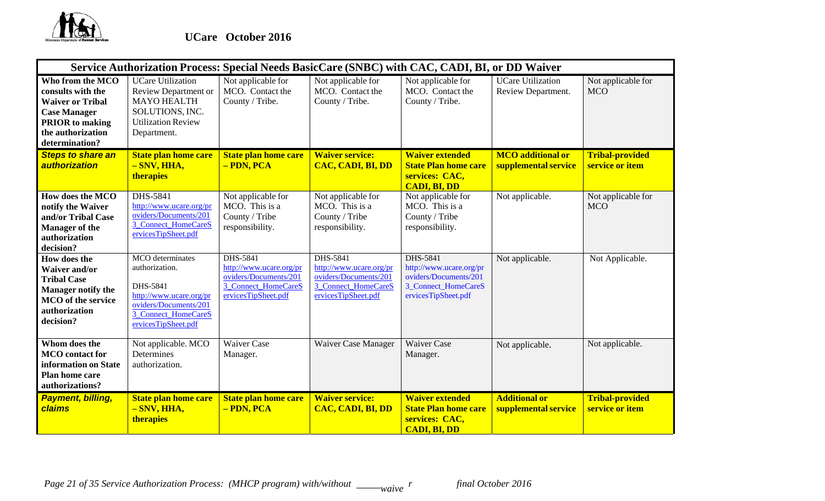

|                                                                                                                                                          | Service Authorization Process: Special Needs BasicCare (SNBC) with CAC, CADI, BI, or DD Waiver                                                   |                                                                                                                   |                                                                                                                          |                                                                                                            |                                                  |                                           |
|----------------------------------------------------------------------------------------------------------------------------------------------------------|--------------------------------------------------------------------------------------------------------------------------------------------------|-------------------------------------------------------------------------------------------------------------------|--------------------------------------------------------------------------------------------------------------------------|------------------------------------------------------------------------------------------------------------|--------------------------------------------------|-------------------------------------------|
| Who from the MCO<br>consults with the<br><b>Waiver or Tribal</b><br><b>Case Manager</b><br><b>PRIOR</b> to making<br>the authorization<br>determination? | <b>UCare Utilization</b><br>Review Department or<br><b>MAYO HEALTH</b><br>SOLUTIONS, INC.<br><b>Utilization Review</b><br>Department.            | Not applicable for<br>MCO. Contact the<br>County / Tribe.                                                         | Not applicable for<br>MCO. Contact the<br>County / Tribe.                                                                | Not applicable for<br>MCO. Contact the<br>County / Tribe.                                                  | <b>UCare Utilization</b><br>Review Department.   | Not applicable for<br><b>MCO</b>          |
| <b>Steps to share an</b><br>authorization                                                                                                                | <b>State plan home care</b><br>$-SNV, HHA,$<br>therapies                                                                                         | <b>State plan home care</b><br>- PDN, PCA                                                                         | <b>Waiver service:</b><br>CAC, CADI, BI, DD                                                                              | <b>Waiver extended</b><br><b>State Plan home care</b><br>services: CAC,<br><b>CADI, BI, DD</b>             | <b>MCO</b> additional or<br>supplemental service | <b>Tribal-provided</b><br>service or item |
| How does the MCO<br>notify the Waiver<br>and/or Tribal Case<br><b>Manager of the</b><br>authorization<br>decision?                                       | DHS-5841<br>http://www.ucare.org/pr<br>oviders/Documents/201<br>3_Connect_HomeCareS<br>ervicesTipSheet.pdf                                       | Not applicable for<br>MCO. This is a<br>County / Tribe<br>responsibility.                                         | Not applicable for<br>MCO. This is a<br>County / Tribe<br>responsibility.                                                | Not applicable for<br>MCO. This is a<br>County / Tribe<br>responsibility.                                  | Not applicable.                                  | Not applicable for<br><b>MCO</b>          |
| How does the<br><b>Waiver and/or</b><br><b>Tribal Case</b><br><b>Manager notify the</b><br><b>MCO</b> of the service<br>authorization<br>decision?       | MCO determinates<br>authorization.<br>DHS-5841<br>http://www.ucare.org/pr<br>oviders/Documents/201<br>3 Connect HomeCareS<br>ervicesTipSheet.pdf | <b>DHS-5841</b><br>http://www.ucare.org/pr<br>oviders/Documents/201<br>3 Connect HomeCareS<br>ervicesTipSheet.pdf | <b>DHS-5841</b><br>http://www.ucare.org/pr<br>oviders/Documents/201<br><b>3 Connect HomeCareS</b><br>ervicesTipSheet.pdf | DHS-5841<br>http://www.ucare.org/pr<br>oviders/Documents/201<br>3_Connect_HomeCareS<br>ervicesTipSheet.pdf | Not applicable.                                  | Not Applicable.                           |
| Whom does the<br><b>MCO</b> contact for<br>information on State<br><b>Plan home care</b><br>authorizations?                                              | Not applicable. MCO<br>Determines<br>authorization.                                                                                              | <b>Waiver Case</b><br>Manager.                                                                                    | Waiver Case Manager                                                                                                      | <b>Waiver Case</b><br>Manager.                                                                             | Not applicable.                                  | Not applicable.                           |
| Payment, billing,<br>claims                                                                                                                              | <b>State plan home care</b><br>$-SNV, HHA,$<br>therapies                                                                                         | <b>State plan home care</b><br>- PDN, PCA                                                                         | <b>Waiver service:</b><br>CAC, CADI, BI, DD                                                                              | <b>Waiver extended</b><br><b>State Plan home care</b><br>services: CAC,<br><b>CADI, BI, DD</b>             | <b>Additional or</b><br>supplemental service     | <b>Tribal-provided</b><br>service or item |

*Page 21 of 35 Service Authorization Process: (MHCP program) with/without* \_\_\_\_\_*waive*  $^r$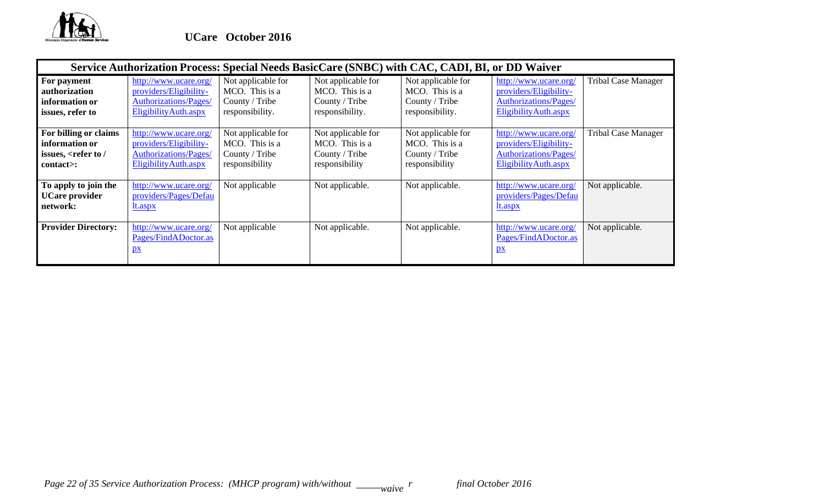

|                                                                                             |                                                                                                          |                                                                           | Service Authorization Process: Special Needs BasicCare (SNBC) with CAC, CADI, BI, or DD Waiver |                                                                           |                                                                                                         |                            |
|---------------------------------------------------------------------------------------------|----------------------------------------------------------------------------------------------------------|---------------------------------------------------------------------------|------------------------------------------------------------------------------------------------|---------------------------------------------------------------------------|---------------------------------------------------------------------------------------------------------|----------------------------|
| For payment<br>authorization<br>information or<br>issues, refer to                          | http://www.ucare.org/<br>providers/Eligibility-<br><b>Authorizations/Pages/</b><br>Eligibility Auth.aspx | Not applicable for<br>MCO. This is a<br>County / Tribe<br>responsibility. | Not applicable for<br>MCO. This is a<br>County / Tribe<br>responsibility.                      | Not applicable for<br>MCO. This is a<br>County / Tribe<br>responsibility. | http://www.ucare.org/<br>providers/Eligibility-<br><b>Authorizations/Pages/</b><br>EligibilityAuth.aspx | <b>Tribal Case Manager</b> |
| For billing or claims<br>information or<br>issues, <refer <br="" to="">contact&gt;:</refer> | http://www.ucare.org/<br>providers/Eligibility-<br>Authorizations/Pages/<br>Eligibility Auth.aspx        | Not applicable for<br>MCO. This is a<br>County / Tribe<br>responsibility  | Not applicable for<br>MCO. This is a<br>County / Tribe<br>responsibility                       | Not applicable for<br>MCO. This is a<br>County / Tribe<br>responsibility  | http://www.ucare.org/<br>providers/Eligibility-<br>Authorizations/Pages/<br>Eligibility Auth.aspx       | <b>Tribal Case Manager</b> |
| To apply to join the<br><b>UCare provider</b><br>network:                                   | http://www.ucare.org/<br>providers/Pages/Defau<br>lt.aspx                                                | Not applicable                                                            | Not applicable.                                                                                | Not applicable.                                                           | http://www.ucare.org/<br>providers/Pages/Defau<br><u>It.aspx</u>                                        | Not applicable.            |
| <b>Provider Directory:</b>                                                                  | http://www.ucare.org/<br>Pages/FindADoctor.as<br>$\mathbf{p}$                                            | Not applicable                                                            | Not applicable.                                                                                | Not applicable.                                                           | http://www.ucare.org/<br>Pages/FindADoctor.as<br>$\mathbf{p}$                                           | Not applicable.            |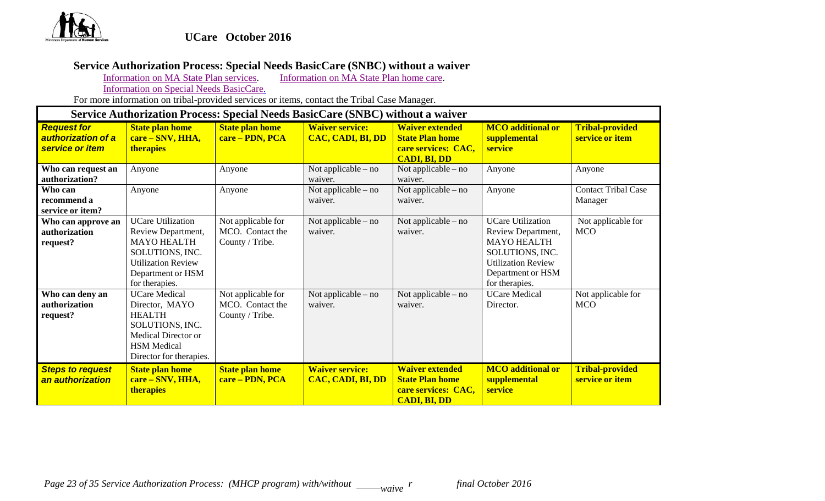

# **Service Authorization Process: Special Needs BasicCare (SNBC) without a waiver**

Information on MA State Plan services. Information on MA State Plan home care.

Information on Special Needs BasicCare.

For more information on tribal-provided services or items, contact the Tribal Case Manager.

#### **Service Authorization Process: Special Needs BasicCare (SNBC) without a waiver**  *Request for authorization of a service or item* **State plan home care – SNV, HHA, therapies State plan home care – PDN, PCA Waiver service: CAC, CADI, BI, DD Waiver extended State Plan home care services: CAC, CADI, BI, DD MCO additional or supplemental service Tribal-provided service or item Who can request an authorization?** Anyone Anyone Not applicable – no waiver. Not applicable – no waiver. Anyone Anyone **Who can recommend a service or item?** Anyone Anyone Not applicable – no waiver. Not applicable – no waiver. Anyone Contact Tribal Case Manager **Who can approve an authorization request?**  UCare Utilization Review Department, MAYO HEALTH SOLUTIONS, INC. Utilization Review Department or HSM for therapies. Not applicable for MCO. Contact the County / Tribe. Not applicable – no waiver. Not applicable – no waiver. UCare Utilization Review Department, MAYO HEALTH SOLUTIONS, INC. Utilization Review Department or HSM for therapies. Not applicable for **MCO Who can deny an authorization request?**  UCare Medical Director, MAYO HEALTH SOLUTIONS, INC. Medical Director or HSM Medical Director for therapies. Not applicable for MCO. Contact the County / Tribe. Not applicable – no waiver. Not applicable – no waiver. UCare Medical Director. Not applicable for MCO *Steps to request an authorization* **State plan home care – SNV, HHA, therapies State plan home care – PDN, PCA Waiver service: CAC, CADI, BI, DD Waiver extended State Plan home care services: CAC, CADI, BI, DD MCO additional or supplemental service Tribal-provided service or item**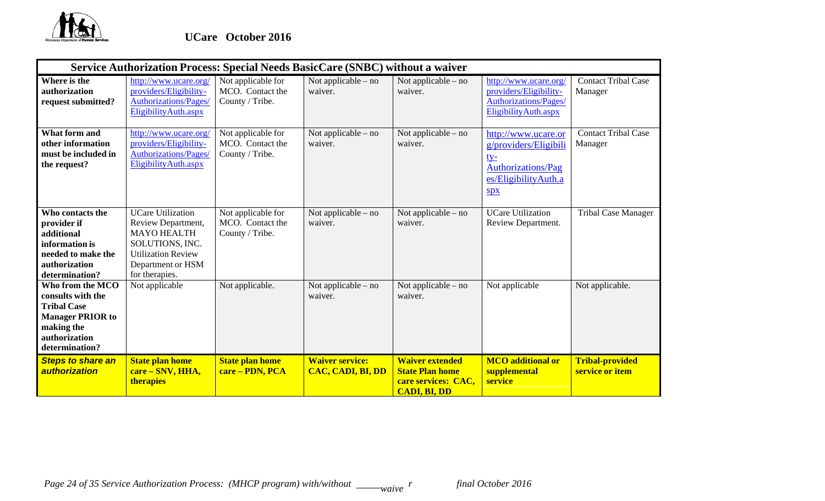

|                                                                                                                                         |                                                                                                                                                             |                                                           | Service Authorization Process: Special Needs BasicCare (SNBC) without a waiver |                                                                                                |                                                                                                                 |                                           |
|-----------------------------------------------------------------------------------------------------------------------------------------|-------------------------------------------------------------------------------------------------------------------------------------------------------------|-----------------------------------------------------------|--------------------------------------------------------------------------------|------------------------------------------------------------------------------------------------|-----------------------------------------------------------------------------------------------------------------|-------------------------------------------|
| Where is the<br>authorization<br>request submitted?                                                                                     | http://www.ucare.org/<br>providers/Eligibility-<br><b>Authorizations/Pages/</b><br>EligibilityAuth.aspx                                                     | Not applicable for<br>MCO. Contact the<br>County / Tribe. | Not applicable – no<br>waiver.                                                 | Not applicable – no<br>waiver.                                                                 | http://www.ucare.org/<br>providers/Eligibility-<br><b>Authorizations/Pages/</b><br>EligibilityAuth.aspx         | <b>Contact Tribal Case</b><br>Manager     |
| What form and<br>other information<br>must be included in<br>the request?                                                               | http://www.ucare.org/<br>providers/Eligibility-<br><b>Authorizations/Pages/</b><br>EligibilityAuth.aspx                                                     | Not applicable for<br>MCO. Contact the<br>County / Tribe. | Not applicable – no<br>waiver.                                                 | Not applicable $-$ no<br>waiver.                                                               | http://www.ucare.or<br>g/providers/Eligibili<br><u>ty-</u><br>Authorizations/Pag<br>es/EligibilityAuth.a<br>Spx | <b>Contact Tribal Case</b><br>Manager     |
| Who contacts the<br>provider if<br>additional<br>information is<br>needed to make the<br>authorization<br>determination?                | <b>UCare Utilization</b><br>Review Department,<br><b>MAYO HEALTH</b><br>SOLUTIONS, INC.<br><b>Utilization Review</b><br>Department or HSM<br>for therapies. | Not applicable for<br>MCO. Contact the<br>County / Tribe. | Not applicable – no<br>waiver.                                                 | Not applicable $-$ no<br>waiver.                                                               | <b>UCare Utilization</b><br>Review Department.                                                                  | <b>Tribal Case Manager</b>                |
| Who from the MCO<br>consults with the<br><b>Tribal Case</b><br><b>Manager PRIOR to</b><br>making the<br>authorization<br>determination? | Not applicable                                                                                                                                              | Not applicable.                                           | Not applicable $-$ no<br>waiver.                                               | Not applicable – no<br>waiver.                                                                 | Not applicable                                                                                                  | Not applicable.                           |
| <b>Steps to share an</b><br>authorization                                                                                               | <b>State plan home</b><br>care – SNV, HHA,<br><b>therapies</b>                                                                                              | <b>State plan home</b><br>care - PDN, PCA                 | <b>Waiver service:</b><br><b>CAC, CADI, BI, DD</b>                             | <b>Waiver extended</b><br><b>State Plan home</b><br>care services: CAC,<br><b>CADI, BI, DD</b> | <b>MCO</b> additional or<br>supplemental<br>service                                                             | <b>Tribal-provided</b><br>service or item |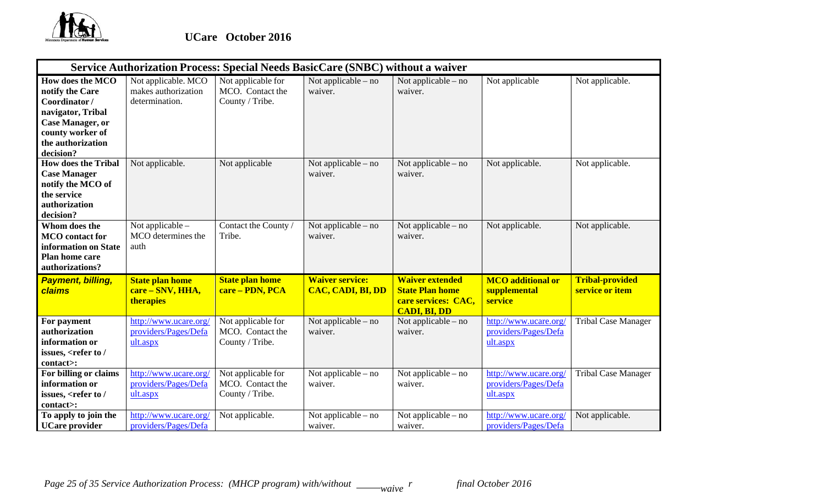

|                                                                                                                                                           | Service Authorization Process: Special Needs BasicCare (SNBC) without a waiver |                                                           |                                             |                                                                                                |                                                           |                                           |  |  |  |
|-----------------------------------------------------------------------------------------------------------------------------------------------------------|--------------------------------------------------------------------------------|-----------------------------------------------------------|---------------------------------------------|------------------------------------------------------------------------------------------------|-----------------------------------------------------------|-------------------------------------------|--|--|--|
| How does the MCO<br>notify the Care<br>Coordinator/<br>navigator, Tribal<br><b>Case Manager, or</b><br>county worker of<br>the authorization<br>decision? | Not applicable. MCO<br>makes authorization<br>determination.                   | Not applicable for<br>MCO. Contact the<br>County / Tribe. | Not applicable – no<br>waiver.              | Not applicable $-$ no<br>waiver.                                                               | Not applicable                                            | Not applicable.                           |  |  |  |
| <b>How does the Tribal</b><br><b>Case Manager</b><br>notify the MCO of<br>the service<br>authorization<br>decision?                                       | Not applicable.                                                                | Not applicable                                            | Not applicable – no<br>waiver.              | Not applicable $-$ no<br>waiver.                                                               | Not applicable.                                           | Not applicable.                           |  |  |  |
| Whom does the<br><b>MCO</b> contact for<br>information on State<br>Plan home care<br>authorizations?                                                      | Not applicable $-$<br>MCO determines the<br>auth                               | Contact the County /<br>Tribe.                            | Not applicable – no<br>waiver.              | Not applicable – no<br>waiver.                                                                 | Not applicable.                                           | Not applicable.                           |  |  |  |
| <b>Payment, billing,</b><br>claims                                                                                                                        | <b>State plan home</b><br>care – SNV, HHA,<br><b>therapies</b>                 | <b>State plan home</b><br>care - PDN, PCA                 | <b>Waiver service:</b><br>CAC, CADI, BI, DD | <b>Waiver extended</b><br><b>State Plan home</b><br>care services: CAC,<br><b>CADI, BI, DD</b> | <b>MCO</b> additional or<br>supplemental<br>service       | <b>Tribal-provided</b><br>service or item |  |  |  |
| For payment<br>authorization<br>information or<br>issues, <refer <br="" to="">contact&gt;:</refer>                                                        | http://www.ucare.org/<br>providers/Pages/Defa<br>ult.aspx                      | Not applicable for<br>MCO. Contact the<br>County / Tribe. | Not applicable – no<br>waiver.              | Not applicable – no<br>waiver.                                                                 | http://www.ucare.org/<br>providers/Pages/Defa<br>ult.aspx | Tribal Case Manager                       |  |  |  |
| For billing or claims<br>information or<br>issues, <refer <br="" to="">contact&gt;:</refer>                                                               | http://www.ucare.org/<br>providers/Pages/Defa<br>ult.aspx                      | Not applicable for<br>MCO. Contact the<br>County / Tribe. | Not applicable – no<br>waiver.              | Not applicable – no<br>waiver.                                                                 | http://www.ucare.org/<br>providers/Pages/Defa<br>ult.aspx | <b>Tribal Case Manager</b>                |  |  |  |
| To apply to join the<br><b>UCare</b> provider                                                                                                             | http://www.ucare.org/<br>providers/Pages/Defa                                  | Not applicable.                                           | Not applicable $-$ no<br>waiver.            | Not applicable – no<br>waiver.                                                                 | http://www.ucare.org/<br>providers/Pages/Defa             | Not applicable.                           |  |  |  |

*Page 25 of 35 Service Authorization Process: (MHCP program) with/without* \_\_\_\_\_*waive*  $^r$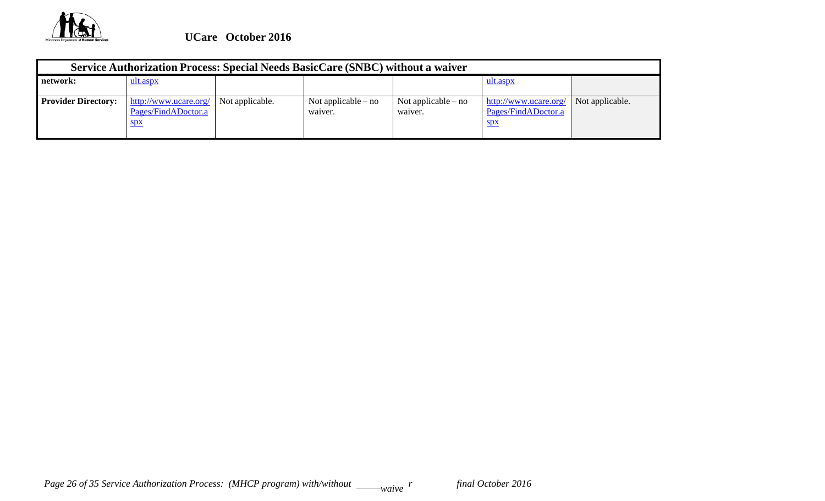

| Service Authorization Process: Special Needs BasicCare (SNBC) without a waiver |                                                                  |                 |                                  |                                |                                                            |                 |  |
|--------------------------------------------------------------------------------|------------------------------------------------------------------|-----------------|----------------------------------|--------------------------------|------------------------------------------------------------|-----------------|--|
| network:                                                                       | ult.aspx                                                         |                 |                                  |                                | <u>ult.aspx</u>                                            |                 |  |
| <b>Provider Directory:</b>                                                     | http://www.ucare.org/<br>Pages/FindADoctor.a<br>$S\overline{p}X$ | Not applicable. | Not applicable $-$ no<br>waiver. | Not applicable – no<br>waiver. | http://www.ucare.org/<br>Pages/FindADoctor.a<br><u>spx</u> | Not applicable. |  |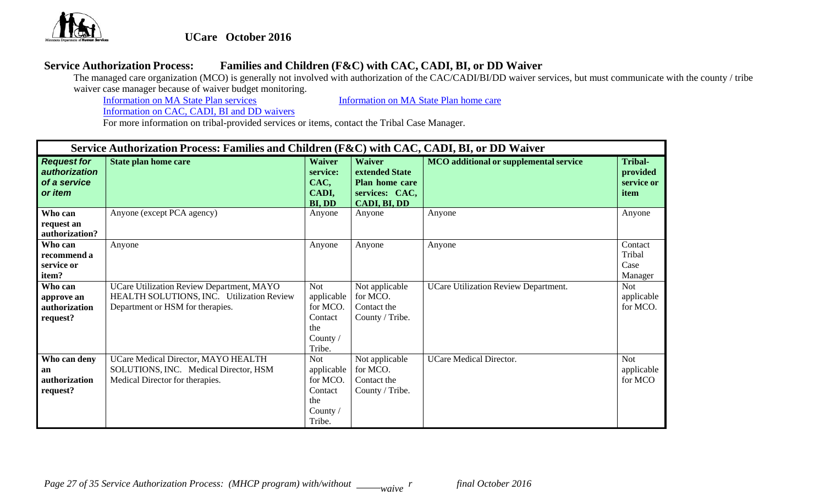

# **UCare October 2016**

## **Service Authorization Process: Families and Children (F&C) with CAC, CADI, BI, or DD Waiver**

The managed care organization (MCO) is generally not involved with authorization of the CAC/CADI/BI/DD waiver services, but must communicate with the county / tribe waiver case manager because of waiver budget monitoring.<br>Information on MA State Plan services

Information on MA State Plan services Information on MA State Plan home care

Information on CAC, CADI, BI and DD waivers

|                                                                       | Service Authorization Process: Families and Children (F&C) with CAC, CADI, BI, or DD Waiver                                |                                                                              |                                                                                            |                                               |                                                  |  |  |  |
|-----------------------------------------------------------------------|----------------------------------------------------------------------------------------------------------------------------|------------------------------------------------------------------------------|--------------------------------------------------------------------------------------------|-----------------------------------------------|--------------------------------------------------|--|--|--|
| <b>Request for</b><br>authorization<br>of a service<br>or <i>item</i> | State plan home care                                                                                                       | <b>Waiver</b><br>service:<br>CAC,<br>CADI,<br>BI, DD                         | <b>Waiver</b><br>extended State<br>Plan home care<br>services: CAC,<br><b>CADI, BI, DD</b> | <b>MCO</b> additional or supplemental service | <b>Tribal-</b><br>provided<br>service or<br>item |  |  |  |
| Who can<br>request an<br>authorization?                               | Anyone (except PCA agency)                                                                                                 | Anyone                                                                       | Anyone                                                                                     | Anyone                                        | Anyone                                           |  |  |  |
| Who can<br>recommend a<br>service or<br>item?                         | Anyone                                                                                                                     | Anyone                                                                       | Anyone                                                                                     | Anyone                                        | Contact<br>Tribal<br>Case<br>Manager             |  |  |  |
| Who can<br>approve an<br>authorization<br>request?                    | UCare Utilization Review Department, MAYO<br>HEALTH SOLUTIONS, INC. Utilization Review<br>Department or HSM for therapies. | <b>Not</b><br>applicable<br>for MCO.<br>Contact<br>the<br>County /<br>Tribe. | Not applicable<br>for MCO.<br>Contact the<br>County / Tribe.                               | UCare Utilization Review Department.          | <b>Not</b><br>applicable<br>for MCO.             |  |  |  |
| Who can deny<br>an<br>authorization<br>request?                       | UCare Medical Director, MAYO HEALTH<br>SOLUTIONS, INC. Medical Director, HSM<br>Medical Director for therapies.            | <b>Not</b><br>applicable<br>for MCO.<br>Contact<br>the<br>County /<br>Tribe. | Not applicable<br>for MCO.<br>Contact the<br>County / Tribe.                               | <b>UCare Medical Director.</b>                | <b>Not</b><br>applicable<br>for MCO              |  |  |  |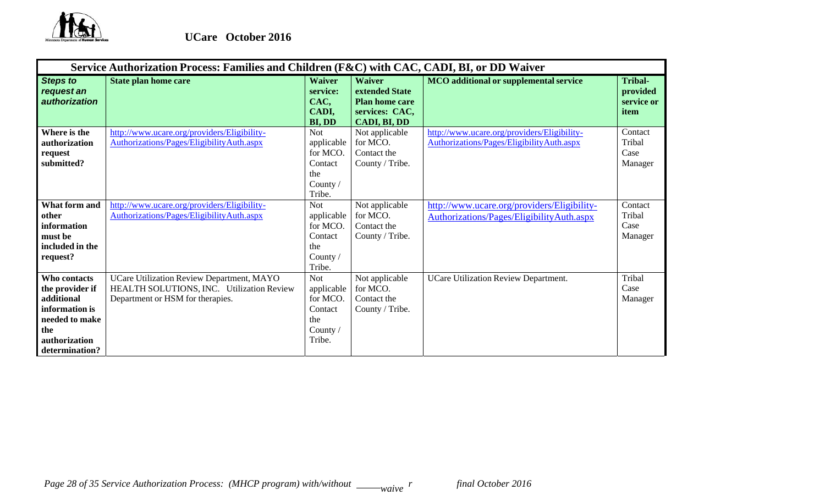

|                                                                                                                                    | Service Authorization Process: Families and Children (F&C) with CAC, CADI, BI, or DD Waiver                                |                                                                                |                                                                                                   |                                                                                          |                                                  |  |  |  |
|------------------------------------------------------------------------------------------------------------------------------------|----------------------------------------------------------------------------------------------------------------------------|--------------------------------------------------------------------------------|---------------------------------------------------------------------------------------------------|------------------------------------------------------------------------------------------|--------------------------------------------------|--|--|--|
| <b>Steps to</b><br>request an<br>authorization                                                                                     | <b>State plan home care</b>                                                                                                | <b>Waiver</b><br>service:<br>CAC,<br>CADI,<br>BI, DD                           | <b>Waiver</b><br>extended State<br><b>Plan home care</b><br>services: CAC,<br><b>CADI, BI, DD</b> | <b>MCO</b> additional or supplemental service                                            | <b>Tribal-</b><br>provided<br>service or<br>item |  |  |  |
| Where is the<br>authorization<br>request<br>submitted?                                                                             | http://www.ucare.org/providers/Eligibility-<br>Authorizations/Pages/EligibilityAuth.aspx                                   | <b>Not</b><br>applicable<br>for MCO.<br>Contact<br>the<br>County $/$<br>Tribe. | Not applicable<br>for MCO.<br>Contact the<br>County / Tribe.                                      | http://www.ucare.org/providers/Eligibility-<br>Authorizations/Pages/EligibilityAuth.aspx | Contact<br>Tribal<br>Case<br>Manager             |  |  |  |
| What form and<br>other<br>information<br>must be<br>included in the<br>request?                                                    | http://www.ucare.org/providers/Eligibility-<br>Authorizations/Pages/EligibilityAuth.aspx                                   | <b>Not</b><br>applicable<br>for MCO.<br>Contact<br>the<br>County /<br>Tribe.   | Not applicable<br>for MCO.<br>Contact the<br>County / Tribe.                                      | http://www.ucare.org/providers/Eligibility-<br>Authorizations/Pages/EligibilityAuth.aspx | Contact<br>Tribal<br>Case<br>Manager             |  |  |  |
| <b>Who contacts</b><br>the provider if<br>additional<br>information is<br>needed to make<br>the<br>authorization<br>determination? | UCare Utilization Review Department, MAYO<br>HEALTH SOLUTIONS, INC. Utilization Review<br>Department or HSM for therapies. | <b>Not</b><br>applicable<br>for MCO.<br>Contact<br>the<br>County /<br>Tribe.   | Not applicable<br>for MCO.<br>Contact the<br>County / Tribe.                                      | <b>UCare Utilization Review Department.</b>                                              | Tribal<br>Case<br>Manager                        |  |  |  |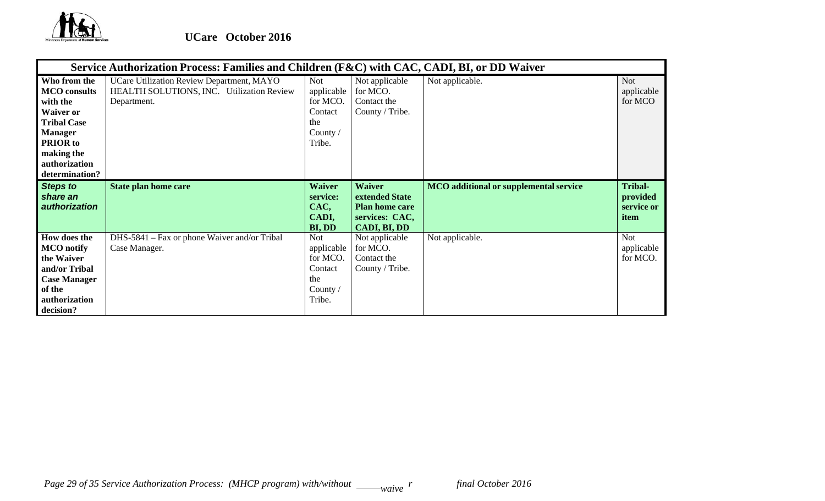

|                                                                                                                                                                                 | Service Authorization Process: Families and Children (F&C) with CAC, CADI, BI, or DD Waiver           |                                                                              |                                                                                                   |                                               |                                           |  |  |  |  |
|---------------------------------------------------------------------------------------------------------------------------------------------------------------------------------|-------------------------------------------------------------------------------------------------------|------------------------------------------------------------------------------|---------------------------------------------------------------------------------------------------|-----------------------------------------------|-------------------------------------------|--|--|--|--|
| Who from the<br><b>MCO</b> consults<br>with the<br><b>Waiver or</b><br><b>Tribal Case</b><br><b>Manager</b><br><b>PRIOR</b> to<br>making the<br>authorization<br>determination? | UCare Utilization Review Department, MAYO<br>HEALTH SOLUTIONS, INC. Utilization Review<br>Department. | <b>Not</b><br>applicable<br>for MCO.<br>Contact<br>the<br>County /<br>Tribe. | Not applicable<br>for MCO.<br>Contact the<br>County / Tribe.                                      | Not applicable.                               | <b>Not</b><br>applicable<br>for MCO       |  |  |  |  |
| <b>Steps to</b><br>share an<br>authorization                                                                                                                                    | <b>State plan home care</b>                                                                           | <b>Waiver</b><br>service:<br>CAC,<br>CADI,<br>BI, DD                         | <b>Waiver</b><br>extended State<br><b>Plan home care</b><br>services: CAC,<br><b>CADI, BI, DD</b> | <b>MCO</b> additional or supplemental service | Tribal-<br>provided<br>service or<br>item |  |  |  |  |
| How does the<br><b>MCO</b> notify<br>the Waiver<br>and/or Tribal<br><b>Case Manager</b><br>of the<br>authorization<br>decision?                                                 | DHS-5841 – Fax or phone Waiver and/or Tribal<br>Case Manager.                                         | Not<br>applicable<br>for MCO.<br>Contact<br>the<br>County $/$<br>Tribe.      | Not applicable<br>for MCO.<br>Contact the<br>County / Tribe.                                      | Not applicable.                               | <b>Not</b><br>applicable<br>for MCO.      |  |  |  |  |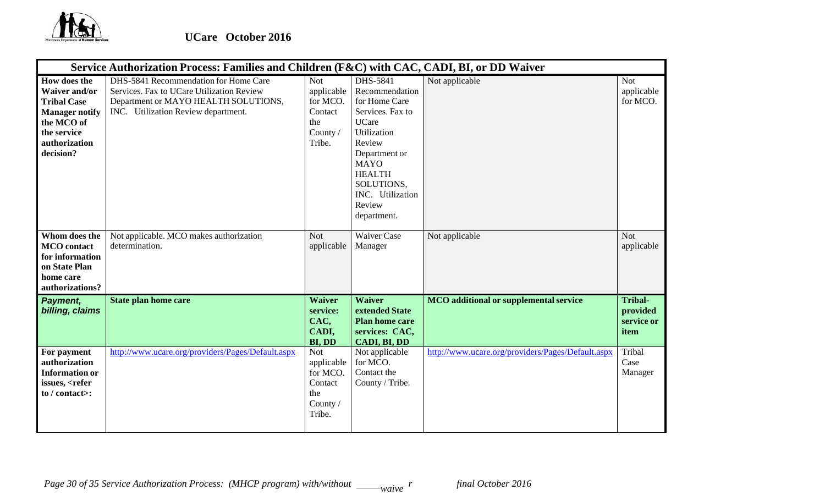

|                                                                                                                                                | Service Authorization Process: Families and Children (F&C) with CAC, CADI, BI, or DD Waiver                                                                       |                                                                              |                                                                                                                                                                                                                      |                                                   |                                                  |  |  |  |  |
|------------------------------------------------------------------------------------------------------------------------------------------------|-------------------------------------------------------------------------------------------------------------------------------------------------------------------|------------------------------------------------------------------------------|----------------------------------------------------------------------------------------------------------------------------------------------------------------------------------------------------------------------|---------------------------------------------------|--------------------------------------------------|--|--|--|--|
| How does the<br><b>Waiver and/or</b><br><b>Tribal Case</b><br><b>Manager notify</b><br>the MCO of<br>the service<br>authorization<br>decision? | DHS-5841 Recommendation for Home Care<br>Services. Fax to UCare Utilization Review<br>Department or MAYO HEALTH SOLUTIONS,<br>INC. Utilization Review department. | <b>Not</b><br>applicable<br>for MCO.<br>Contact<br>the<br>County /<br>Tribe. | DHS-5841<br>Recommendation<br>for Home Care<br>Services. Fax to<br><b>UCare</b><br>Utilization<br>Review<br>Department or<br><b>MAYO</b><br><b>HEALTH</b><br>SOLUTIONS,<br>INC. Utilization<br>Review<br>department. | Not applicable                                    | <b>Not</b><br>applicable<br>for MCO.             |  |  |  |  |
| Whom does the<br><b>MCO</b> contact<br>for information<br>on State Plan<br>home care<br>authorizations?                                        | Not applicable. MCO makes authorization<br>determination.                                                                                                         | <b>Not</b><br>applicable                                                     | <b>Waiver Case</b><br>Manager                                                                                                                                                                                        | Not applicable                                    | <b>Not</b><br>applicable                         |  |  |  |  |
| Payment,<br>billing, claims                                                                                                                    | <b>State plan home care</b>                                                                                                                                       | <b>Waiver</b><br>service:<br>CAC,<br>CADI,<br><b>BI, DD</b>                  | <b>Waiver</b><br>extended State<br><b>Plan home care</b><br>services: CAC,<br>CADI, BI, DD                                                                                                                           | <b>MCO</b> additional or supplemental service     | <b>Tribal-</b><br>provided<br>service or<br>item |  |  |  |  |
| For payment<br>authorization<br><b>Information or</b><br>issues, <refer<br>to <math>/</math> contact&gt;:</refer<br>                           | http://www.ucare.org/providers/Pages/Default.aspx                                                                                                                 | <b>Not</b><br>applicable<br>for MCO.<br>Contact<br>the<br>County /<br>Tribe. | Not applicable<br>for MCO.<br>Contact the<br>County / Tribe.                                                                                                                                                         | http://www.ucare.org/providers/Pages/Default.aspx | Tribal<br>Case<br>Manager                        |  |  |  |  |

*Page 30 of 35 Service Authorization Process: (MHCP program) with/without* \_\_\_\_\_*waive*  $^r$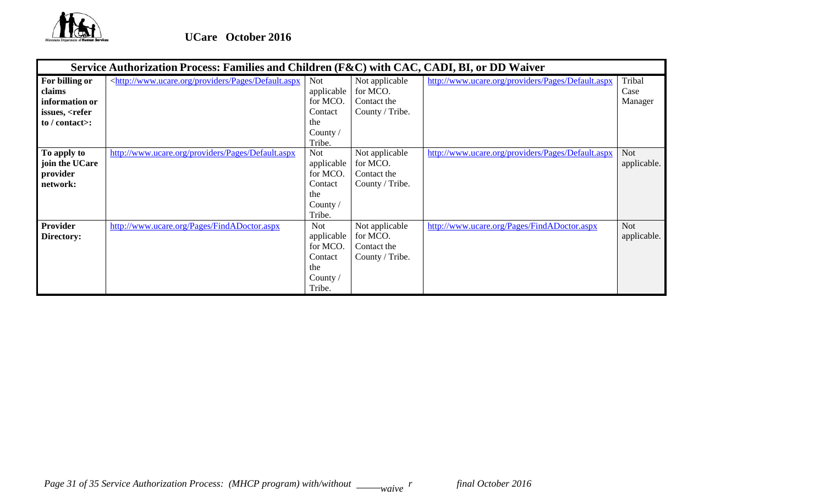

|                                                                                                           | Service Authorization Process: Families and Children (F&C) with CAC, CADI, BI, or DD Waiver                                                                                                                                                                                                                                             |                                                                                |                                                              |                                                   |                           |  |  |  |
|-----------------------------------------------------------------------------------------------------------|-----------------------------------------------------------------------------------------------------------------------------------------------------------------------------------------------------------------------------------------------------------------------------------------------------------------------------------------|--------------------------------------------------------------------------------|--------------------------------------------------------------|---------------------------------------------------|---------------------------|--|--|--|
| For billing or<br>claims<br>information or<br>issues, <refer<br>to <math>/</math> contact&gt;:</refer<br> | <http: default.aspx<="" pages="" providers="" th="" www.ucare.org=""><th>Not<br/>applicable<br/>for MCO.<br/>Contact<br/>the<br/>County /<br/>Tribe.</th><th>Not applicable<br/>for MCO.<br/>Contact the<br/>County / Tribe.</th><th>http://www.ucare.org/providers/Pages/Default.aspx</th><th>Tribal<br/>Case<br/>Manager</th></http:> | Not<br>applicable<br>for MCO.<br>Contact<br>the<br>County /<br>Tribe.          | Not applicable<br>for MCO.<br>Contact the<br>County / Tribe. | http://www.ucare.org/providers/Pages/Default.aspx | Tribal<br>Case<br>Manager |  |  |  |
| To apply to<br>join the UCare<br>provider<br>network:                                                     | http://www.ucare.org/providers/Pages/Default.aspx                                                                                                                                                                                                                                                                                       | <b>Not</b><br>applicable<br>for MCO.<br>Contact<br>the<br>County /<br>Tribe.   | Not applicable<br>for MCO.<br>Contact the<br>County / Tribe. | http://www.ucare.org/providers/Pages/Default.aspx | <b>Not</b><br>applicable. |  |  |  |
| Provider<br>Directory:                                                                                    | http://www.ucare.org/Pages/FindADoctor.aspx                                                                                                                                                                                                                                                                                             | <b>Not</b><br>applicable<br>for MCO.<br>Contact<br>the<br>County $/$<br>Tribe. | Not applicable<br>for MCO.<br>Contact the<br>County / Tribe. | http://www.ucare.org/Pages/FindADoctor.aspx       | <b>Not</b><br>applicable. |  |  |  |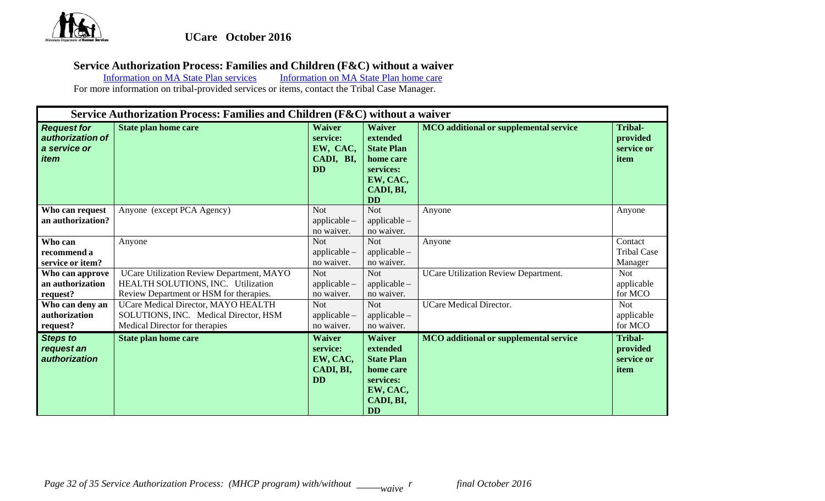

# **Service Authorization Process: Families and Children (F&C) without a waiver**

Information on MA State Plan services Information on MA State Plan home care

|                                                                       | Service Authorization Process: Families and Children (F&C) without a waiver                                                |                                                                 |                                                                                                                |                                               |                                                  |  |  |
|-----------------------------------------------------------------------|----------------------------------------------------------------------------------------------------------------------------|-----------------------------------------------------------------|----------------------------------------------------------------------------------------------------------------|-----------------------------------------------|--------------------------------------------------|--|--|
| <b>Request for</b><br>authorization of<br>a service or<br><i>item</i> | <b>State plan home care</b>                                                                                                | <b>Waiver</b><br>service:<br>EW, CAC,<br>CADI, BI,<br><b>DD</b> | <b>Waiver</b><br>extended<br><b>State Plan</b><br>home care<br>services:<br>EW, CAC,<br>CADI, BI,<br><b>DD</b> | <b>MCO</b> additional or supplemental service | <b>Tribal-</b><br>provided<br>service or<br>item |  |  |
| Who can request<br>an authorization?                                  | Anyone (except PCA Agency)                                                                                                 | <b>Not</b><br>applicable-<br>no waiver.                         | <b>Not</b><br>applicable -<br>no waiver.                                                                       | Anyone                                        | Anyone                                           |  |  |
| Who can<br>recommend a<br>service or item?                            | Anyone                                                                                                                     | <b>Not</b><br>$applicable -$<br>no waiver.                      | <b>Not</b><br>$applicable -$<br>no waiver.                                                                     | Anyone                                        | Contact<br><b>Tribal Case</b><br>Manager         |  |  |
| Who can approve<br>an authorization<br>request?                       | UCare Utilization Review Department, MAYO<br>HEALTH SOLUTIONS, INC. Utilization<br>Review Department or HSM for therapies. | <b>Not</b><br>applicable -<br>no waiver.                        | <b>Not</b><br>$applicable -$<br>no waiver.                                                                     | <b>UCare Utilization Review Department.</b>   | <b>Not</b><br>applicable<br>for MCO              |  |  |
| Who can deny an<br>authorization<br>request?                          | UCare Medical Director, MAYO HEALTH<br>SOLUTIONS, INC. Medical Director, HSM<br>Medical Director for therapies             | <b>Not</b><br>applicable -<br>no waiver.                        | <b>Not</b><br>$applicable -$<br>no waiver.                                                                     | <b>UCare Medical Director.</b>                | <b>Not</b><br>applicable<br>for MCO              |  |  |
| <b>Steps to</b><br>request an<br><i>authorization</i>                 | <b>State plan home care</b>                                                                                                | <b>Waiver</b><br>service:<br>EW, CAC,<br>CADI, BI,<br><b>DD</b> | <b>Waiver</b><br>extended<br><b>State Plan</b><br>home care<br>services:<br>EW, CAC,<br>CADI, BI,<br><b>DD</b> | <b>MCO</b> additional or supplemental service | <b>Tribal-</b><br>provided<br>service or<br>item |  |  |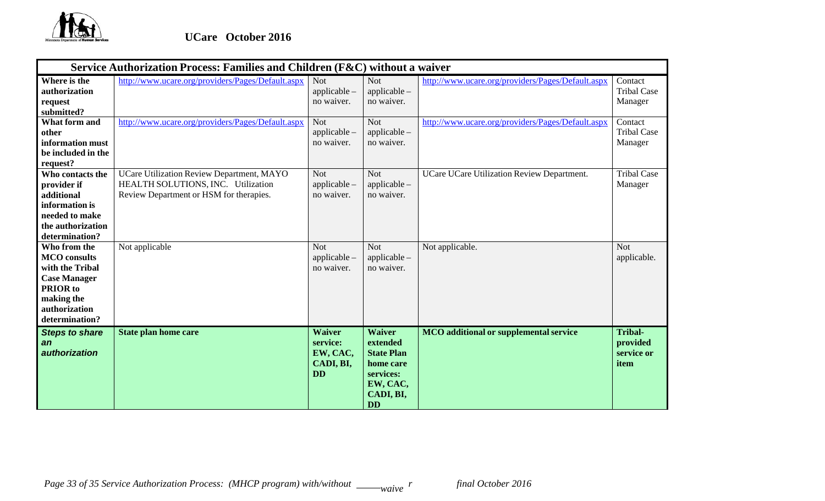

|                                                                                                                                                   | Service Authorization Process: Families and Children (F&C) without a waiver                                                |                                                                 |                                                                                                                |                                                   |                                                  |  |  |
|---------------------------------------------------------------------------------------------------------------------------------------------------|----------------------------------------------------------------------------------------------------------------------------|-----------------------------------------------------------------|----------------------------------------------------------------------------------------------------------------|---------------------------------------------------|--------------------------------------------------|--|--|
| Where is the<br>authorization<br>request<br>submitted?                                                                                            | http://www.ucare.org/providers/Pages/Default.aspx                                                                          | <b>Not</b><br>$applicable -$<br>no waiver.                      | <b>Not</b><br>$applicable -$<br>no waiver.                                                                     | http://www.ucare.org/providers/Pages/Default.aspx | Contact<br><b>Tribal Case</b><br>Manager         |  |  |
| What form and<br>other<br>information must<br>be included in the<br>request?                                                                      | http://www.ucare.org/providers/Pages/Default.aspx                                                                          | <b>Not</b><br>applicable -<br>no waiver.                        | <b>Not</b><br>$applicable -$<br>no waiver.                                                                     | http://www.ucare.org/providers/Pages/Default.aspx | Contact<br><b>Tribal Case</b><br>Manager         |  |  |
| Who contacts the<br>provider if<br>additional<br>information is<br>needed to make<br>the authorization<br>determination?                          | UCare Utilization Review Department, MAYO<br>HEALTH SOLUTIONS, INC. Utilization<br>Review Department or HSM for therapies. | <b>Not</b><br>$applicable -$<br>no waiver.                      | <b>Not</b><br>$applicable -$<br>no waiver.                                                                     | UCare UCare Utilization Review Department.        | <b>Tribal Case</b><br>Manager                    |  |  |
| Who from the<br><b>MCO</b> consults<br>with the Tribal<br><b>Case Manager</b><br><b>PRIOR</b> to<br>making the<br>authorization<br>determination? | Not applicable                                                                                                             | <b>Not</b><br>$applicable -$<br>no waiver.                      | <b>Not</b><br>$applicable -$<br>no waiver.                                                                     | Not applicable.                                   | <b>Not</b><br>applicable.                        |  |  |
| <b>Steps to share</b><br>an<br>authorization                                                                                                      | <b>State plan home care</b>                                                                                                | <b>Waiver</b><br>service:<br>EW, CAC,<br>CADI, BI,<br><b>DD</b> | <b>Waiver</b><br>extended<br><b>State Plan</b><br>home care<br>services:<br>EW, CAC,<br>CADI, BI,<br><b>DD</b> | <b>MCO</b> additional or supplemental service     | <b>Tribal-</b><br>provided<br>service or<br>item |  |  |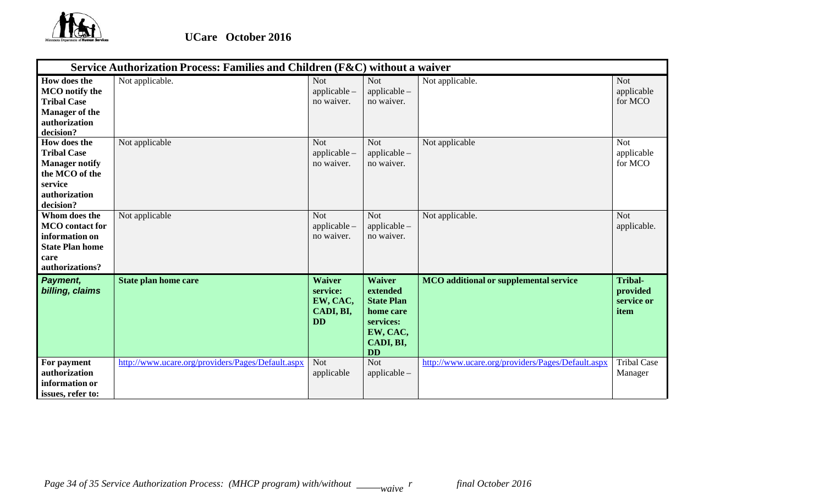

|                                                                                                                        | Service Authorization Process: Families and Children (F&C) without a waiver |                                                                 |                                                                                                                |                                                   |                                                  |  |  |
|------------------------------------------------------------------------------------------------------------------------|-----------------------------------------------------------------------------|-----------------------------------------------------------------|----------------------------------------------------------------------------------------------------------------|---------------------------------------------------|--------------------------------------------------|--|--|
| How does the<br><b>MCO</b> notify the<br><b>Tribal Case</b><br><b>Manager of the</b><br>authorization<br>decision?     | Not applicable.                                                             | <b>Not</b><br>applicable -<br>no waiver.                        | <b>Not</b><br>$applicable -$<br>no waiver.                                                                     | Not applicable.                                   | <b>Not</b><br>applicable<br>for MCO              |  |  |
| How does the<br><b>Tribal Case</b><br><b>Manager notify</b><br>the MCO of the<br>service<br>authorization<br>decision? | Not applicable                                                              | <b>Not</b><br>applicable -<br>no waiver.                        | <b>Not</b><br>$applicable -$<br>no waiver.                                                                     | Not applicable                                    | <b>Not</b><br>applicable<br>for MCO              |  |  |
| Whom does the<br><b>MCO</b> contact for<br>information on<br><b>State Plan home</b><br>care<br>authorizations?         | Not applicable                                                              | <b>Not</b><br>applicable -<br>no waiver.                        | <b>Not</b><br>$applicable -$<br>no waiver.                                                                     | Not applicable.                                   | <b>Not</b><br>applicable.                        |  |  |
| Payment,<br>billing, claims                                                                                            | <b>State plan home care</b>                                                 | <b>Waiver</b><br>service:<br>EW, CAC,<br>CADI, BI,<br><b>DD</b> | <b>Waiver</b><br>extended<br><b>State Plan</b><br>home care<br>services:<br>EW, CAC,<br>CADI, BI,<br><b>DD</b> | <b>MCO</b> additional or supplemental service     | <b>Tribal-</b><br>provided<br>service or<br>item |  |  |
| For payment<br>authorization<br>information or<br>issues, refer to:                                                    | http://www.ucare.org/providers/Pages/Default.aspx                           | <b>Not</b><br>applicable                                        | <b>Not</b><br>$applicable -$                                                                                   | http://www.ucare.org/providers/Pages/Default.aspx | <b>Tribal Case</b><br>Manager                    |  |  |